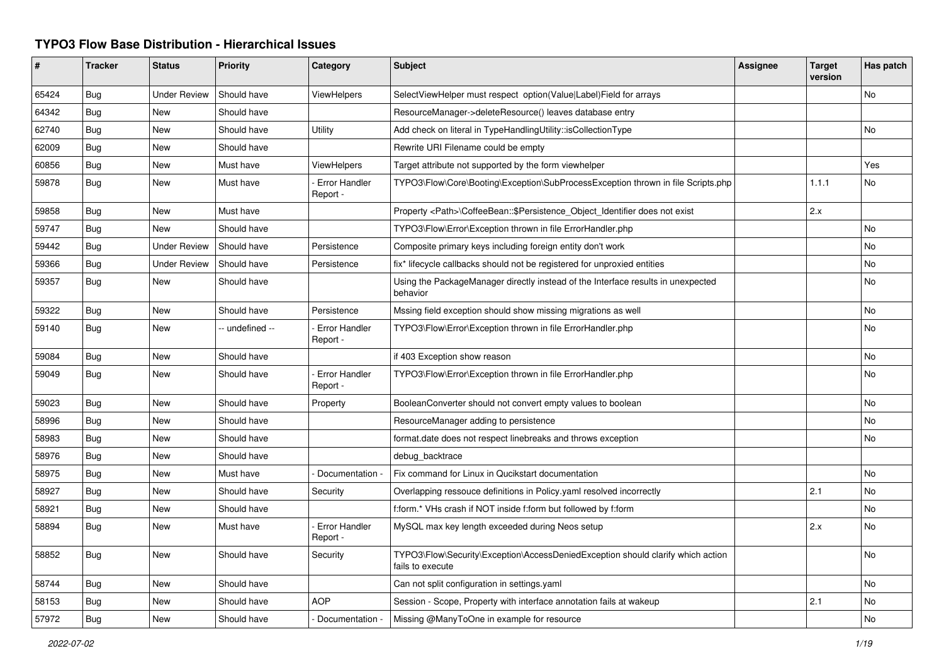## **TYPO3 Flow Base Distribution - Hierarchical Issues**

| #     | <b>Tracker</b> | <b>Status</b>       | <b>Priority</b> | Category                         | <b>Subject</b>                                                                                      | Assignee | <b>Target</b><br>version | Has patch |
|-------|----------------|---------------------|-----------------|----------------------------------|-----------------------------------------------------------------------------------------------------|----------|--------------------------|-----------|
| 65424 | Bug            | <b>Under Review</b> | Should have     | <b>ViewHelpers</b>               | SelectViewHelper must respect option(Value Label)Field for arrays                                   |          |                          | No        |
| 64342 | Bug            | New                 | Should have     |                                  | ResourceManager->deleteResource() leaves database entry                                             |          |                          |           |
| 62740 | <b>Bug</b>     | <b>New</b>          | Should have     | Utility                          | Add check on literal in TypeHandlingUtility::isCollectionType                                       |          |                          | No        |
| 62009 | Bug            | <b>New</b>          | Should have     |                                  | Rewrite URI Filename could be empty                                                                 |          |                          |           |
| 60856 | Bug            | New                 | Must have       | <b>ViewHelpers</b>               | Target attribute not supported by the form viewhelper                                               |          |                          | Yes       |
| 59878 | Bug            | New                 | Must have       | <b>Error Handler</b><br>Report - | TYPO3\Flow\Core\Booting\Exception\SubProcessException thrown in file Scripts.php                    |          | 1.1.1                    | No        |
| 59858 | Bug            | <b>New</b>          | Must have       |                                  | Property <path>\CoffeeBean::\$Persistence Object Identifier does not exist</path>                   |          | 2.x                      |           |
| 59747 | Bug            | New                 | Should have     |                                  | TYPO3\Flow\Error\Exception thrown in file ErrorHandler.php                                          |          |                          | No        |
| 59442 | Bug            | <b>Under Review</b> | Should have     | Persistence                      | Composite primary keys including foreign entity don't work                                          |          |                          | No        |
| 59366 | Bug            | <b>Under Review</b> | Should have     | Persistence                      | fix* lifecycle callbacks should not be registered for unproxied entities                            |          |                          | No.       |
| 59357 | <b>Bug</b>     | <b>New</b>          | Should have     |                                  | Using the PackageManager directly instead of the Interface results in unexpected<br>behavior        |          |                          | No        |
| 59322 | Bug            | New                 | Should have     | Persistence                      | Mssing field exception should show missing migrations as well                                       |          |                          | No        |
| 59140 | <b>Bug</b>     | <b>New</b>          | -- undefined -- | Error Handler<br>Report -        | TYPO3\Flow\Error\Exception thrown in file ErrorHandler.php                                          |          |                          | No        |
| 59084 | Bug            | New                 | Should have     |                                  | if 403 Exception show reason                                                                        |          |                          | No        |
| 59049 | <b>Bug</b>     | <b>New</b>          | Should have     | <b>Error Handler</b><br>Report - | TYPO3\Flow\Error\Exception thrown in file ErrorHandler.php                                          |          |                          | No        |
| 59023 | Bug            | <b>New</b>          | Should have     | Property                         | BooleanConverter should not convert empty values to boolean                                         |          |                          | <b>No</b> |
| 58996 | Bug            | New                 | Should have     |                                  | ResourceManager adding to persistence                                                               |          |                          | No        |
| 58983 | Bug            | New                 | Should have     |                                  | format.date does not respect linebreaks and throws exception                                        |          |                          | <b>No</b> |
| 58976 | Bug            | New                 | Should have     |                                  | debug backtrace                                                                                     |          |                          |           |
| 58975 | Bug            | New                 | Must have       | Documentation -                  | Fix command for Linux in Qucikstart documentation                                                   |          |                          | No        |
| 58927 | <b>Bug</b>     | New                 | Should have     | Security                         | Overlapping ressouce definitions in Policy yaml resolved incorrectly                                |          | 2.1                      | No        |
| 58921 | Bug            | New                 | Should have     |                                  | f:form.* VHs crash if NOT inside f:form but followed by f:form                                      |          |                          | No        |
| 58894 | <b>Bug</b>     | New                 | Must have       | Error Handler<br>Report -        | MySQL max key length exceeded during Neos setup                                                     |          | 2.x                      | No        |
| 58852 | <b>Bug</b>     | New                 | Should have     | Security                         | TYPO3\Flow\Security\Exception\AccessDeniedException should clarify which action<br>fails to execute |          |                          | No        |
| 58744 | Bug            | New                 | Should have     |                                  | Can not split configuration in settings yaml                                                        |          |                          | No        |
| 58153 | Bug            | New                 | Should have     | <b>AOP</b>                       | Session - Scope, Property with interface annotation fails at wakeup                                 |          | 2.1                      | No        |
| 57972 | Bug            | New                 | Should have     | Documentation -                  | Missing @ManyToOne in example for resource                                                          |          |                          | No        |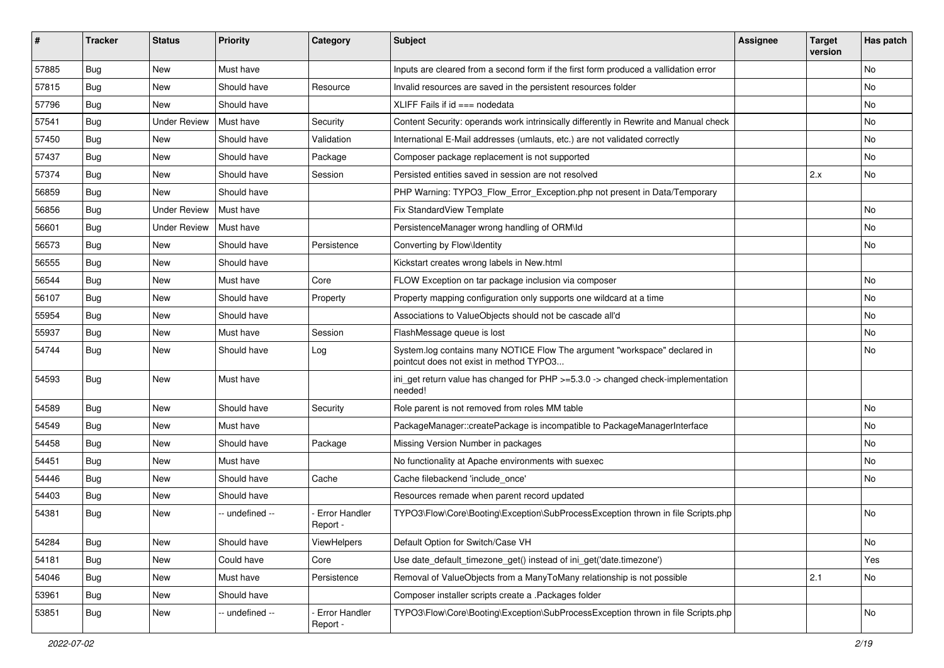| ∦     | <b>Tracker</b> | <b>Status</b>       | <b>Priority</b> | Category                         | <b>Subject</b>                                                                                                       | <b>Assignee</b> | <b>Target</b><br>version | Has patch |
|-------|----------------|---------------------|-----------------|----------------------------------|----------------------------------------------------------------------------------------------------------------------|-----------------|--------------------------|-----------|
| 57885 | Bug            | <b>New</b>          | Must have       |                                  | Inputs are cleared from a second form if the first form produced a vallidation error                                 |                 |                          | <b>No</b> |
| 57815 | Bug            | New                 | Should have     | Resource                         | Invalid resources are saved in the persistent resources folder                                                       |                 |                          | No        |
| 57796 | Bug            | New                 | Should have     |                                  | XLIFF Fails if $id ==$ nodedata                                                                                      |                 |                          | No        |
| 57541 | Bug            | <b>Under Review</b> | Must have       | Security                         | Content Security: operands work intrinsically differently in Rewrite and Manual check                                |                 |                          | No        |
| 57450 | <b>Bug</b>     | New                 | Should have     | Validation                       | International E-Mail addresses (umlauts, etc.) are not validated correctly                                           |                 |                          | No        |
| 57437 | <b>Bug</b>     | New                 | Should have     | Package                          | Composer package replacement is not supported                                                                        |                 |                          | No        |
| 57374 | Bug            | New                 | Should have     | Session                          | Persisted entities saved in session are not resolved                                                                 |                 | 2.x                      | No        |
| 56859 | <b>Bug</b>     | New                 | Should have     |                                  | PHP Warning: TYPO3_Flow_Error_Exception.php not present in Data/Temporary                                            |                 |                          |           |
| 56856 | Bug            | <b>Under Review</b> | Must have       |                                  | Fix StandardView Template                                                                                            |                 |                          | No        |
| 56601 | <b>Bug</b>     | <b>Under Review</b> | Must have       |                                  | PersistenceManager wrong handling of ORM\ld                                                                          |                 |                          | No        |
| 56573 | Bug            | New                 | Should have     | Persistence                      | Converting by Flow\Identity                                                                                          |                 |                          | No        |
| 56555 | Bug            | New                 | Should have     |                                  | Kickstart creates wrong labels in New.html                                                                           |                 |                          |           |
| 56544 | Bug            | New                 | Must have       | Core                             | FLOW Exception on tar package inclusion via composer                                                                 |                 |                          | No        |
| 56107 | <b>Bug</b>     | New                 | Should have     | Property                         | Property mapping configuration only supports one wildcard at a time                                                  |                 |                          | No        |
| 55954 | Bug            | New                 | Should have     |                                  | Associations to ValueObjects should not be cascade all'd                                                             |                 |                          | No        |
| 55937 | Bug            | New                 | Must have       | Session                          | FlashMessage queue is lost                                                                                           |                 |                          | No        |
| 54744 | Bug            | New                 | Should have     | Log                              | System.log contains many NOTICE Flow The argument "workspace" declared in<br>pointcut does not exist in method TYPO3 |                 |                          | No        |
| 54593 | Bug            | <b>New</b>          | Must have       |                                  | ini_get return value has changed for PHP >=5.3.0 -> changed check-implementation<br>needed!                          |                 |                          |           |
| 54589 | Bug            | New                 | Should have     | Security                         | Role parent is not removed from roles MM table                                                                       |                 |                          | No        |
| 54549 | <b>Bug</b>     | New                 | Must have       |                                  | PackageManager::createPackage is incompatible to PackageManagerInterface                                             |                 |                          | No        |
| 54458 | Bug            | New                 | Should have     | Package                          | Missing Version Number in packages                                                                                   |                 |                          | No        |
| 54451 | <b>Bug</b>     | New                 | Must have       |                                  | No functionality at Apache environments with suexec                                                                  |                 |                          | No        |
| 54446 | <b>Bug</b>     | New                 | Should have     | Cache                            | Cache filebackend 'include once'                                                                                     |                 |                          | No        |
| 54403 | Bug            | New                 | Should have     |                                  | Resources remade when parent record updated                                                                          |                 |                          |           |
| 54381 | <b>Bug</b>     | New                 | -- undefined -- | <b>Error Handler</b><br>Report - | TYPO3\Flow\Core\Booting\Exception\SubProcessException thrown in file Scripts.php                                     |                 |                          | No        |
| 54284 | <b>Bug</b>     | New                 | Should have     | ViewHelpers                      | Default Option for Switch/Case VH                                                                                    |                 |                          | No        |
| 54181 | Bug            | New                 | Could have      | Core                             | Use date_default_timezone_get() instead of ini_get('date.timezone')                                                  |                 |                          | Yes       |
| 54046 | <b>Bug</b>     | <b>New</b>          | Must have       | Persistence                      | Removal of ValueObjects from a ManyToMany relationship is not possible                                               |                 | 2.1                      | No        |
| 53961 | <b>Bug</b>     | New                 | Should have     |                                  | Composer installer scripts create a .Packages folder                                                                 |                 |                          |           |
| 53851 | <b>Bug</b>     | New                 | -- undefined -- | Error Handler<br>Report -        | TYPO3\Flow\Core\Booting\Exception\SubProcessException thrown in file Scripts.php                                     |                 |                          | No        |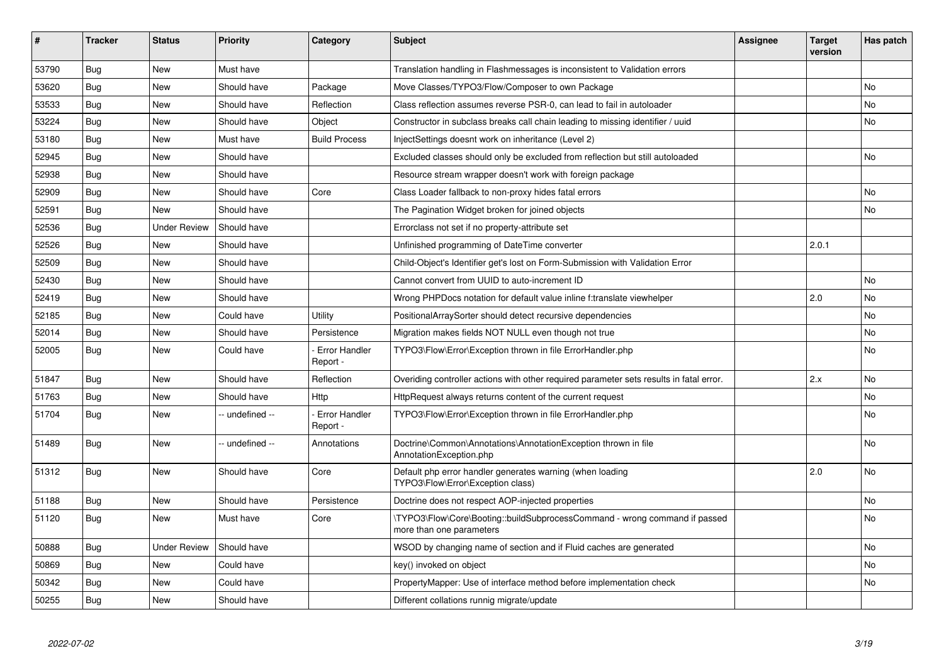| #     | <b>Tracker</b> | <b>Status</b>       | <b>Priority</b> | Category                         | <b>Subject</b>                                                                                         | Assignee | <b>Target</b><br>version | Has patch |
|-------|----------------|---------------------|-----------------|----------------------------------|--------------------------------------------------------------------------------------------------------|----------|--------------------------|-----------|
| 53790 | <b>Bug</b>     | <b>New</b>          | Must have       |                                  | Translation handling in Flashmessages is inconsistent to Validation errors                             |          |                          |           |
| 53620 | Bug            | New                 | Should have     | Package                          | Move Classes/TYPO3/Flow/Composer to own Package                                                        |          |                          | No        |
| 53533 | Bug            | New                 | Should have     | Reflection                       | Class reflection assumes reverse PSR-0, can lead to fail in autoloader                                 |          |                          | No        |
| 53224 | <b>Bug</b>     | New                 | Should have     | Object                           | Constructor in subclass breaks call chain leading to missing identifier / uuid                         |          |                          | No        |
| 53180 | <b>Bug</b>     | New                 | Must have       | <b>Build Process</b>             | InjectSettings doesnt work on inheritance (Level 2)                                                    |          |                          |           |
| 52945 | Bug            | New                 | Should have     |                                  | Excluded classes should only be excluded from reflection but still autoloaded                          |          |                          | No        |
| 52938 | <b>Bug</b>     | New                 | Should have     |                                  | Resource stream wrapper doesn't work with foreign package                                              |          |                          |           |
| 52909 | Bug            | <b>New</b>          | Should have     | Core                             | Class Loader fallback to non-proxy hides fatal errors                                                  |          |                          | No        |
| 52591 | <b>Bug</b>     | New                 | Should have     |                                  | The Pagination Widget broken for joined objects                                                        |          |                          | <b>No</b> |
| 52536 | <b>Bug</b>     | <b>Under Review</b> | Should have     |                                  | Errorclass not set if no property-attribute set                                                        |          |                          |           |
| 52526 | <b>Bug</b>     | New                 | Should have     |                                  | Unfinished programming of DateTime converter                                                           |          | 2.0.1                    |           |
| 52509 | Bug            | New                 | Should have     |                                  | Child-Object's Identifier get's lost on Form-Submission with Validation Error                          |          |                          |           |
| 52430 | <b>Bug</b>     | New                 | Should have     |                                  | Cannot convert from UUID to auto-increment ID                                                          |          |                          | No        |
| 52419 | Bug            | New                 | Should have     |                                  | Wrong PHPDocs notation for default value inline f:translate viewhelper                                 |          | 2.0                      | No        |
| 52185 | <b>Bug</b>     | New                 | Could have      | Utility                          | PositionalArraySorter should detect recursive dependencies                                             |          |                          | No        |
| 52014 | Bug            | New                 | Should have     | Persistence                      | Migration makes fields NOT NULL even though not true                                                   |          |                          | No        |
| 52005 | Bug            | New                 | Could have      | <b>Error Handler</b><br>Report - | TYPO3\Flow\Error\Exception thrown in file ErrorHandler.php                                             |          |                          | No        |
| 51847 | Bug            | New                 | Should have     | Reflection                       | Overiding controller actions with other required parameter sets results in fatal error.                |          | 2.x                      | No        |
| 51763 | Bug            | New                 | Should have     | Http                             | HttpRequest always returns content of the current request                                              |          |                          | No        |
| 51704 | <b>Bug</b>     | New                 | -- undefined -- | <b>Error Handler</b><br>Report - | TYPO3\Flow\Error\Exception thrown in file ErrorHandler.php                                             |          |                          | No        |
| 51489 | Bug            | <b>New</b>          | -- undefined -- | Annotations                      | Doctrine\Common\Annotations\AnnotationException thrown in file<br>AnnotationException.php              |          |                          | No        |
| 51312 | Bug            | <b>New</b>          | Should have     | Core                             | Default php error handler generates warning (when loading<br>TYPO3\Flow\Error\Exception class)         |          | 2.0                      | <b>No</b> |
| 51188 | <b>Bug</b>     | New                 | Should have     | Persistence                      | Doctrine does not respect AOP-injected properties                                                      |          |                          | No        |
| 51120 | Bug            | New                 | Must have       | Core                             | \TYPO3\Flow\Core\Booting::buildSubprocessCommand - wrong command if passed<br>more than one parameters |          |                          | No        |
| 50888 | <b>Bug</b>     | <b>Under Review</b> | Should have     |                                  | WSOD by changing name of section and if Fluid caches are generated                                     |          |                          | No        |
| 50869 | <b>Bug</b>     | New                 | Could have      |                                  | key() invoked on object                                                                                |          |                          | No        |
| 50342 | <b>Bug</b>     | New                 | Could have      |                                  | PropertyMapper: Use of interface method before implementation check                                    |          |                          | No        |
| 50255 | <b>Bug</b>     | New                 | Should have     |                                  | Different collations runnig migrate/update                                                             |          |                          |           |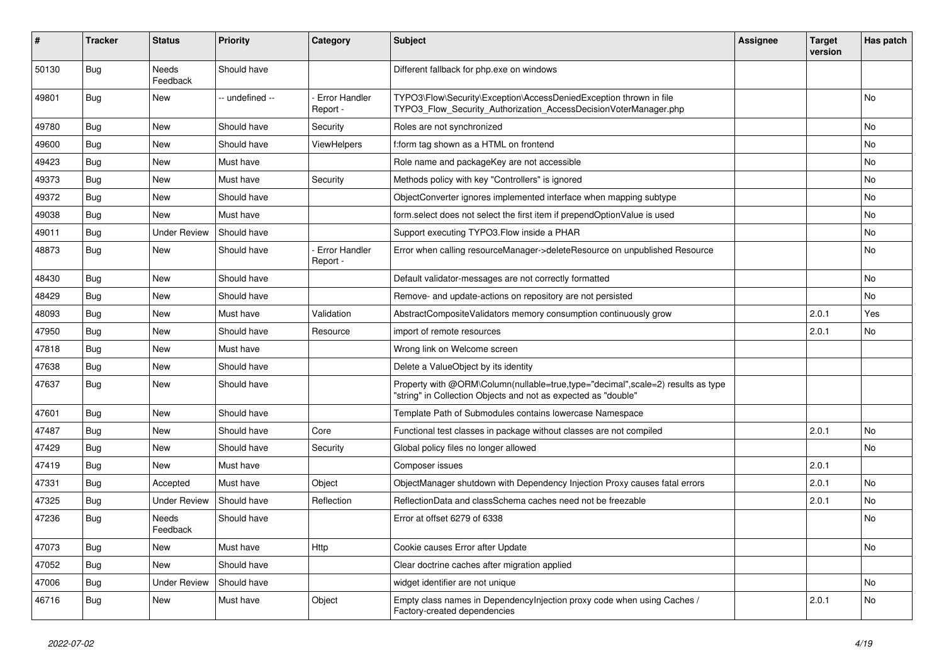| #     | <b>Tracker</b> | <b>Status</b>       | <b>Priority</b> | Category                         | <b>Subject</b>                                                                                                                                    | <b>Assignee</b> | <b>Target</b><br>version | Has patch |
|-------|----------------|---------------------|-----------------|----------------------------------|---------------------------------------------------------------------------------------------------------------------------------------------------|-----------------|--------------------------|-----------|
| 50130 | Bug            | Needs<br>Feedback   | Should have     |                                  | Different fallback for php.exe on windows                                                                                                         |                 |                          |           |
| 49801 | <b>Bug</b>     | New                 | -- undefined -- | <b>Error Handler</b><br>Report - | TYPO3\Flow\Security\Exception\AccessDeniedException thrown in file<br>TYPO3 Flow Security Authorization AccessDecisionVoterManager.php            |                 |                          | No        |
| 49780 | Bug            | New                 | Should have     | Security                         | Roles are not synchronized                                                                                                                        |                 |                          | No        |
| 49600 | <b>Bug</b>     | New                 | Should have     | ViewHelpers                      | f:form tag shown as a HTML on frontend                                                                                                            |                 |                          | No.       |
| 49423 | <b>Bug</b>     | New                 | Must have       |                                  | Role name and packageKey are not accessible                                                                                                       |                 |                          | No        |
| 49373 | <b>Bug</b>     | New                 | Must have       | Security                         | Methods policy with key "Controllers" is ignored                                                                                                  |                 |                          | No        |
| 49372 | Bug            | New                 | Should have     |                                  | ObjectConverter ignores implemented interface when mapping subtype                                                                                |                 |                          | No        |
| 49038 | Bug            | New                 | Must have       |                                  | form select does not select the first item if prependOptionValue is used                                                                          |                 |                          | No        |
| 49011 | <b>Bug</b>     | <b>Under Review</b> | Should have     |                                  | Support executing TYPO3. Flow inside a PHAR                                                                                                       |                 |                          | No        |
| 48873 | Bug            | <b>New</b>          | Should have     | <b>Error Handler</b><br>Report - | Error when calling resourceManager->deleteResource on unpublished Resource                                                                        |                 |                          | No        |
| 48430 | <b>Bug</b>     | <b>New</b>          | Should have     |                                  | Default validator-messages are not correctly formatted                                                                                            |                 |                          | No        |
| 48429 | <b>Bug</b>     | New                 | Should have     |                                  | Remove- and update-actions on repository are not persisted                                                                                        |                 |                          | No        |
| 48093 | <b>Bug</b>     | New                 | Must have       | Validation                       | AbstractCompositeValidators memory consumption continuously grow                                                                                  |                 | 2.0.1                    | Yes       |
| 47950 | Bug            | New                 | Should have     | Resource                         | import of remote resources                                                                                                                        |                 | 2.0.1                    | No        |
| 47818 | Bug            | New                 | Must have       |                                  | Wrong link on Welcome screen                                                                                                                      |                 |                          |           |
| 47638 | Bug            | New                 | Should have     |                                  | Delete a ValueObject by its identity                                                                                                              |                 |                          |           |
| 47637 | <b>Bug</b>     | New                 | Should have     |                                  | Property with @ORM\Column(nullable=true,type="decimal",scale=2) results as type<br>"string" in Collection Objects and not as expected as "double" |                 |                          |           |
| 47601 | Bug            | <b>New</b>          | Should have     |                                  | Template Path of Submodules contains lowercase Namespace                                                                                          |                 |                          |           |
| 47487 | <b>Bug</b>     | New                 | Should have     | Core                             | Functional test classes in package without classes are not compiled                                                                               |                 | 2.0.1                    | No        |
| 47429 | <b>Bug</b>     | New                 | Should have     | Security                         | Global policy files no longer allowed                                                                                                             |                 |                          | No        |
| 47419 | <b>Bug</b>     | <b>New</b>          | Must have       |                                  | Composer issues                                                                                                                                   |                 | 2.0.1                    |           |
| 47331 | <b>Bug</b>     | Accepted            | Must have       | Object                           | ObjectManager shutdown with Dependency Injection Proxy causes fatal errors                                                                        |                 | 2.0.1                    | No        |
| 47325 | <b>Bug</b>     | <b>Under Review</b> | Should have     | Reflection                       | ReflectionData and classSchema caches need not be freezable                                                                                       |                 | 2.0.1                    | No        |
| 47236 | Bug            | Needs<br>Feedback   | Should have     |                                  | Error at offset 6279 of 6338                                                                                                                      |                 |                          | No        |
| 47073 | Bug            | New                 | Must have       | Http                             | Cookie causes Error after Update                                                                                                                  |                 |                          | No        |
| 47052 | Bug            | New                 | Should have     |                                  | Clear doctrine caches after migration applied                                                                                                     |                 |                          |           |
| 47006 | <b>Bug</b>     | <b>Under Review</b> | Should have     |                                  | widget identifier are not unique                                                                                                                  |                 |                          | No        |
| 46716 | <b>Bug</b>     | New                 | Must have       | Object                           | Empty class names in DependencyInjection proxy code when using Caches /<br>Factory-created dependencies                                           |                 | 2.0.1                    | No        |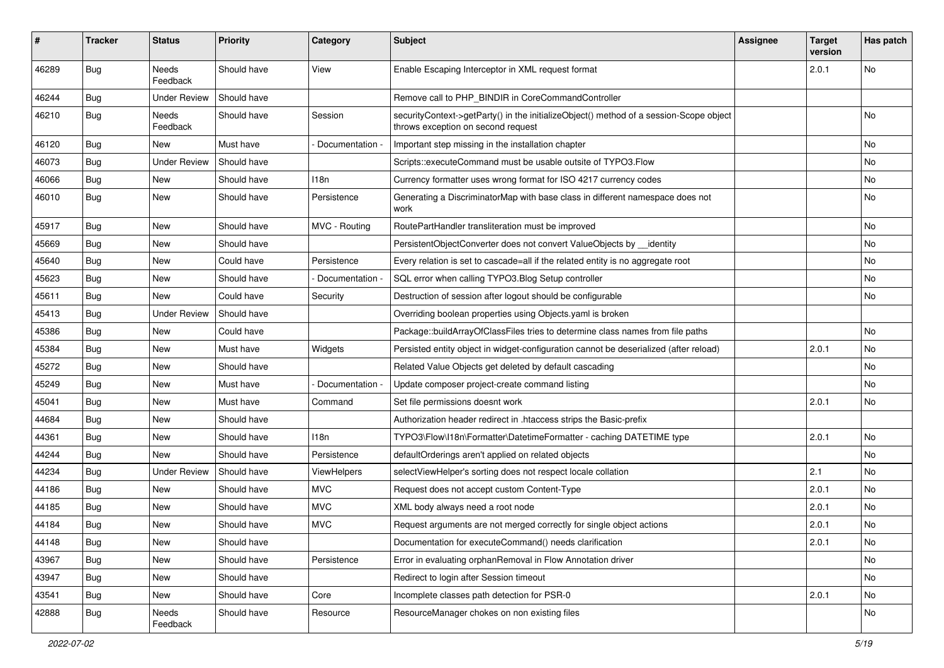| #     | <b>Tracker</b> | <b>Status</b>       | <b>Priority</b> | Category           | <b>Subject</b>                                                                                                               | <b>Assignee</b> | <b>Target</b><br>version | Has patch |
|-------|----------------|---------------------|-----------------|--------------------|------------------------------------------------------------------------------------------------------------------------------|-----------------|--------------------------|-----------|
| 46289 | Bug            | Needs<br>Feedback   | Should have     | View               | Enable Escaping Interceptor in XML request format                                                                            |                 | 2.0.1                    | No        |
| 46244 | <b>Bug</b>     | <b>Under Review</b> | Should have     |                    | Remove call to PHP_BINDIR in CoreCommandController                                                                           |                 |                          |           |
| 46210 | Bug            | Needs<br>Feedback   | Should have     | Session            | securityContext->getParty() in the initializeObject() method of a session-Scope object<br>throws exception on second request |                 |                          | No        |
| 46120 | Bug            | <b>New</b>          | Must have       | Documentation -    | Important step missing in the installation chapter                                                                           |                 |                          | No        |
| 46073 | Bug            | <b>Under Review</b> | Should have     |                    | Scripts::executeCommand must be usable outsite of TYPO3.Flow                                                                 |                 |                          | No        |
| 46066 | <b>Bug</b>     | New                 | Should have     | 118n               | Currency formatter uses wrong format for ISO 4217 currency codes                                                             |                 |                          | No        |
| 46010 | <b>Bug</b>     | New                 | Should have     | Persistence        | Generating a DiscriminatorMap with base class in different namespace does not<br>work                                        |                 |                          | No        |
| 45917 | <b>Bug</b>     | New                 | Should have     | MVC - Routing      | RoutePartHandler transliteration must be improved                                                                            |                 |                          | No        |
| 45669 | Bug            | <b>New</b>          | Should have     |                    | PersistentObjectConverter does not convert ValueObjects by identity                                                          |                 |                          | No        |
| 45640 | <b>Bug</b>     | New                 | Could have      | Persistence        | Every relation is set to cascade=all if the related entity is no aggregate root                                              |                 |                          | No        |
| 45623 | Bug            | New                 | Should have     | Documentation -    | SQL error when calling TYPO3. Blog Setup controller                                                                          |                 |                          | No        |
| 45611 | Bug            | New                 | Could have      | Security           | Destruction of session after logout should be configurable                                                                   |                 |                          | No        |
| 45413 | <b>Bug</b>     | <b>Under Review</b> | Should have     |                    | Overriding boolean properties using Objects yaml is broken                                                                   |                 |                          |           |
| 45386 | Bug            | <b>New</b>          | Could have      |                    | Package::buildArrayOfClassFiles tries to determine class names from file paths                                               |                 |                          | No        |
| 45384 | Bug            | New                 | Must have       | Widgets            | Persisted entity object in widget-configuration cannot be deserialized (after reload)                                        |                 | 2.0.1                    | No        |
| 45272 | Bug            | New                 | Should have     |                    | Related Value Objects get deleted by default cascading                                                                       |                 |                          | No        |
| 45249 | Bug            | <b>New</b>          | Must have       | Documentation -    | Update composer project-create command listing                                                                               |                 |                          | No        |
| 45041 | Bug            | New                 | Must have       | Command            | Set file permissions doesnt work                                                                                             |                 | 2.0.1                    | No        |
| 44684 | <b>Bug</b>     | New                 | Should have     |                    | Authorization header redirect in .htaccess strips the Basic-prefix                                                           |                 |                          |           |
| 44361 | Bug            | New                 | Should have     | 118n               | TYPO3\Flow\I18n\Formatter\DatetimeFormatter - caching DATETIME type                                                          |                 | 2.0.1                    | No        |
| 44244 | Bug            | New                 | Should have     | Persistence        | defaultOrderings aren't applied on related objects                                                                           |                 |                          | No        |
| 44234 | Bug            | <b>Under Review</b> | Should have     | <b>ViewHelpers</b> | selectViewHelper's sorting does not respect locale collation                                                                 |                 | 2.1                      | No        |
| 44186 | <b>Bug</b>     | New                 | Should have     | <b>MVC</b>         | Request does not accept custom Content-Type                                                                                  |                 | 2.0.1                    | No        |
| 44185 | Bug            | New                 | Should have     | <b>MVC</b>         | XML body always need a root node                                                                                             |                 | 2.0.1                    | No        |
| 44184 | Bug            | New                 | Should have     | <b>MVC</b>         | Request arguments are not merged correctly for single object actions                                                         |                 | 2.0.1                    | No        |
| 44148 | Bug            | New                 | Should have     |                    | Documentation for executeCommand() needs clarification                                                                       |                 | 2.0.1                    | No        |
| 43967 | <b>Bug</b>     | New                 | Should have     | Persistence        | Error in evaluating orphanRemoval in Flow Annotation driver                                                                  |                 |                          | No        |
| 43947 | Bug            | New                 | Should have     |                    | Redirect to login after Session timeout                                                                                      |                 |                          | No        |
| 43541 | <b>Bug</b>     | New                 | Should have     | Core               | Incomplete classes path detection for PSR-0                                                                                  |                 | 2.0.1                    | No        |
| 42888 | <b>Bug</b>     | Needs<br>Feedback   | Should have     | Resource           | ResourceManager chokes on non existing files                                                                                 |                 |                          | No        |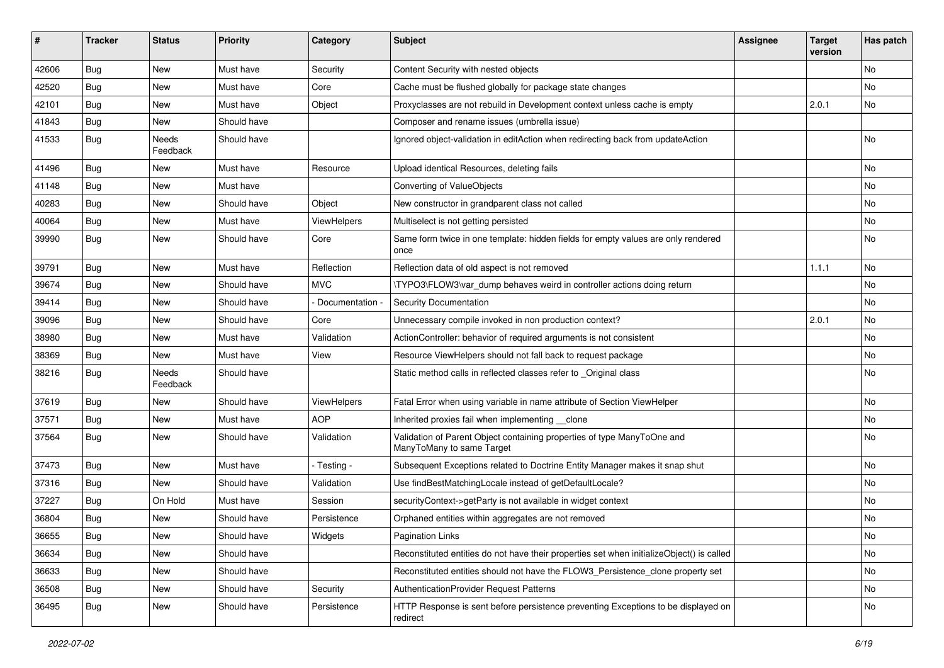| ∦     | <b>Tracker</b> | <b>Status</b>     | <b>Priority</b> | Category           | <b>Subject</b>                                                                                       | <b>Assignee</b> | <b>Target</b><br>version | Has patch |
|-------|----------------|-------------------|-----------------|--------------------|------------------------------------------------------------------------------------------------------|-----------------|--------------------------|-----------|
| 42606 | <b>Bug</b>     | New               | Must have       | Security           | Content Security with nested objects                                                                 |                 |                          | No        |
| 42520 | Bug            | New               | Must have       | Core               | Cache must be flushed globally for package state changes                                             |                 |                          | No        |
| 42101 | Bug            | New               | Must have       | Object             | Proxyclasses are not rebuild in Development context unless cache is empty                            |                 | 2.0.1                    | No        |
| 41843 | <b>Bug</b>     | New               | Should have     |                    | Composer and rename issues (umbrella issue)                                                          |                 |                          |           |
| 41533 | Bug            | Needs<br>Feedback | Should have     |                    | Ignored object-validation in editAction when redirecting back from updateAction                      |                 |                          | No        |
| 41496 | <b>Bug</b>     | New               | Must have       | Resource           | Upload identical Resources, deleting fails                                                           |                 |                          | No        |
| 41148 | <b>Bug</b>     | New               | Must have       |                    | Converting of ValueObjects                                                                           |                 |                          | No        |
| 40283 | <b>Bug</b>     | New               | Should have     | Object             | New constructor in grandparent class not called                                                      |                 |                          | No        |
| 40064 | Bug            | New               | Must have       | <b>ViewHelpers</b> | Multiselect is not getting persisted                                                                 |                 |                          | No        |
| 39990 | Bug            | New               | Should have     | Core               | Same form twice in one template: hidden fields for empty values are only rendered<br>once            |                 |                          | No        |
| 39791 | <b>Bug</b>     | New               | Must have       | Reflection         | Reflection data of old aspect is not removed                                                         |                 | 1.1.1                    | No        |
| 39674 | Bug            | New               | Should have     | <b>MVC</b>         | \TYPO3\FLOW3\var_dump behaves weird in controller actions doing return                               |                 |                          | No        |
| 39414 | <b>Bug</b>     | New               | Should have     | Documentation      | <b>Security Documentation</b>                                                                        |                 |                          | No        |
| 39096 | <b>Bug</b>     | New               | Should have     | Core               | Unnecessary compile invoked in non production context?                                               |                 | 2.0.1                    | No        |
| 38980 | <b>Bug</b>     | New               | Must have       | Validation         | ActionController: behavior of required arguments is not consistent                                   |                 |                          | No        |
| 38369 | <b>Bug</b>     | New               | Must have       | View               | Resource ViewHelpers should not fall back to request package                                         |                 |                          | No        |
| 38216 | Bug            | Needs<br>Feedback | Should have     |                    | Static method calls in reflected classes refer to _Original class                                    |                 |                          | No        |
| 37619 | <b>Bug</b>     | New               | Should have     | ViewHelpers        | Fatal Error when using variable in name attribute of Section ViewHelper                              |                 |                          | No        |
| 37571 | <b>Bug</b>     | New               | Must have       | <b>AOP</b>         | Inherited proxies fail when implementing __clone                                                     |                 |                          | No        |
| 37564 | <b>Bug</b>     | New               | Should have     | Validation         | Validation of Parent Object containing properties of type ManyToOne and<br>ManyToMany to same Target |                 |                          | No        |
| 37473 | <b>Bug</b>     | <b>New</b>        | Must have       | - Testing -        | Subsequent Exceptions related to Doctrine Entity Manager makes it snap shut                          |                 |                          | No        |
| 37316 | <b>Bug</b>     | New               | Should have     | Validation         | Use findBestMatchingLocale instead of getDefaultLocale?                                              |                 |                          | No        |
| 37227 | Bug            | On Hold           | Must have       | Session            | securityContext->getParty is not available in widget context                                         |                 |                          | No        |
| 36804 | Bug            | New               | Should have     | Persistence        | Orphaned entities within aggregates are not removed                                                  |                 |                          | No        |
| 36655 | <b>Bug</b>     | New               | Should have     | Widgets            | <b>Pagination Links</b>                                                                              |                 |                          | No.       |
| 36634 | <b>Bug</b>     | <b>New</b>        | Should have     |                    | Reconstituted entities do not have their properties set when initializeObject() is called            |                 |                          | No        |
| 36633 | <b>Bug</b>     | New               | Should have     |                    | Reconstituted entities should not have the FLOW3_Persistence_clone property set                      |                 |                          | No        |
| 36508 | <b>Bug</b>     | New               | Should have     | Security           | AuthenticationProvider Request Patterns                                                              |                 |                          | No        |
| 36495 | <b>Bug</b>     | New               | Should have     | Persistence        | HTTP Response is sent before persistence preventing Exceptions to be displayed on<br>redirect        |                 |                          | No        |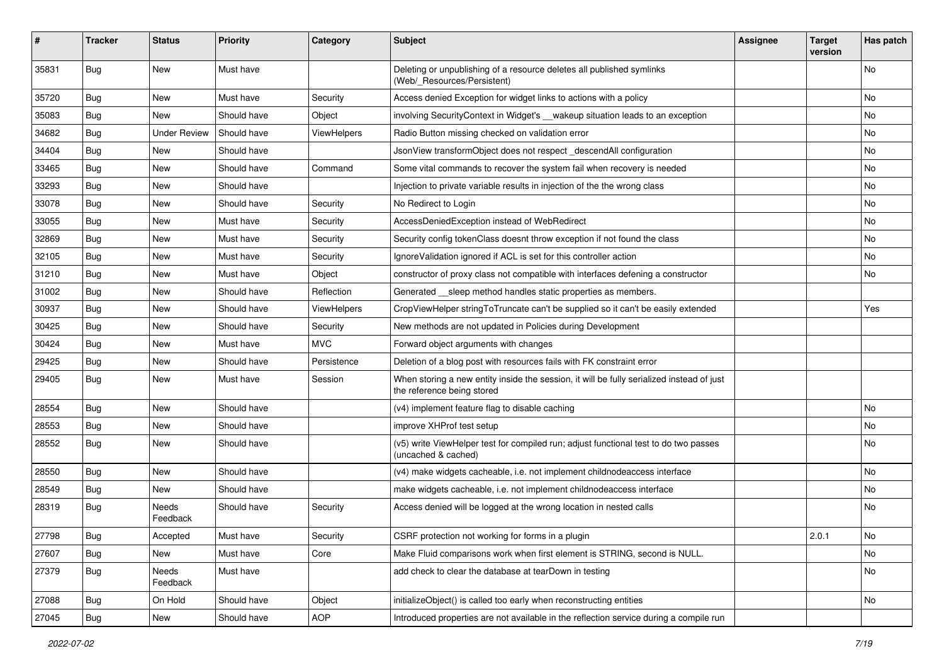| #     | <b>Tracker</b> | <b>Status</b>       | <b>Priority</b> | Category    | <b>Subject</b>                                                                                                          | Assignee | <b>Target</b><br>version | Has patch |
|-------|----------------|---------------------|-----------------|-------------|-------------------------------------------------------------------------------------------------------------------------|----------|--------------------------|-----------|
| 35831 | Bug            | <b>New</b>          | Must have       |             | Deleting or unpublishing of a resource deletes all published symlinks<br>(Web/_Resources/Persistent)                    |          |                          | No        |
| 35720 | Bug            | New                 | Must have       | Security    | Access denied Exception for widget links to actions with a policy                                                       |          |                          | No        |
| 35083 | Bug            | <b>New</b>          | Should have     | Object      | involving SecurityContext in Widget's __wakeup situation leads to an exception                                          |          |                          | No        |
| 34682 | Bug            | <b>Under Review</b> | Should have     | ViewHelpers | Radio Button missing checked on validation error                                                                        |          |                          | No        |
| 34404 | Bug            | New                 | Should have     |             | JsonView transformObject does not respect_descendAll configuration                                                      |          |                          | No        |
| 33465 | Bug            | New                 | Should have     | Command     | Some vital commands to recover the system fail when recovery is needed                                                  |          |                          | No        |
| 33293 | Bug            | New                 | Should have     |             | Injection to private variable results in injection of the the wrong class                                               |          |                          | No        |
| 33078 | <b>Bug</b>     | New                 | Should have     | Security    | No Redirect to Login                                                                                                    |          |                          | No        |
| 33055 | Bug            | New                 | Must have       | Security    | AccessDeniedException instead of WebRedirect                                                                            |          |                          | No        |
| 32869 | Bug            | New                 | Must have       | Security    | Security config tokenClass doesnt throw exception if not found the class                                                |          |                          | No        |
| 32105 | Bug            | New                 | Must have       | Security    | Ignore Validation ignored if ACL is set for this controller action                                                      |          |                          | No        |
| 31210 | Bug            | New                 | Must have       | Object      | constructor of proxy class not compatible with interfaces defening a constructor                                        |          |                          | No        |
| 31002 | Bug            | New                 | Should have     | Reflection  | Generated __sleep method handles static properties as members.                                                          |          |                          |           |
| 30937 | Bug            | New                 | Should have     | ViewHelpers | CropViewHelper stringToTruncate can't be supplied so it can't be easily extended                                        |          |                          | Yes       |
| 30425 | Bug            | New                 | Should have     | Security    | New methods are not updated in Policies during Development                                                              |          |                          |           |
| 30424 | <b>Bug</b>     | New                 | Must have       | <b>MVC</b>  | Forward object arguments with changes                                                                                   |          |                          |           |
| 29425 | Bug            | New                 | Should have     | Persistence | Deletion of a blog post with resources fails with FK constraint error                                                   |          |                          |           |
| 29405 | Bug            | New                 | Must have       | Session     | When storing a new entity inside the session, it will be fully serialized instead of just<br>the reference being stored |          |                          |           |
| 28554 | <b>Bug</b>     | New                 | Should have     |             | (v4) implement feature flag to disable caching                                                                          |          |                          | No        |
| 28553 | <b>Bug</b>     | New                 | Should have     |             | improve XHProf test setup                                                                                               |          |                          | No        |
| 28552 | <b>Bug</b>     | New                 | Should have     |             | (v5) write ViewHelper test for compiled run; adjust functional test to do two passes<br>(uncached & cached)             |          |                          | No        |
| 28550 | Bug            | New                 | Should have     |             | (v4) make widgets cacheable, i.e. not implement childnodeaccess interface                                               |          |                          | No        |
| 28549 | <b>Bug</b>     | New                 | Should have     |             | make widgets cacheable, i.e. not implement childnodeaccess interface                                                    |          |                          | No        |
| 28319 | <b>Bug</b>     | Needs<br>Feedback   | Should have     | Security    | Access denied will be logged at the wrong location in nested calls                                                      |          |                          | No        |
| 27798 | <b>Bug</b>     | Accepted            | Must have       | Security    | CSRF protection not working for forms in a plugin                                                                       |          | 2.0.1                    | NO.       |
| 27607 | <b>Bug</b>     | New                 | Must have       | Core        | Make Fluid comparisons work when first element is STRING, second is NULL.                                               |          |                          | No        |
| 27379 | <b>Bug</b>     | Needs<br>Feedback   | Must have       |             | add check to clear the database at tearDown in testing                                                                  |          |                          | No        |
| 27088 | <b>Bug</b>     | On Hold             | Should have     | Object      | initializeObject() is called too early when reconstructing entities                                                     |          |                          | No        |
| 27045 | Bug            | New                 | Should have     | AOP         | Introduced properties are not available in the reflection service during a compile run                                  |          |                          |           |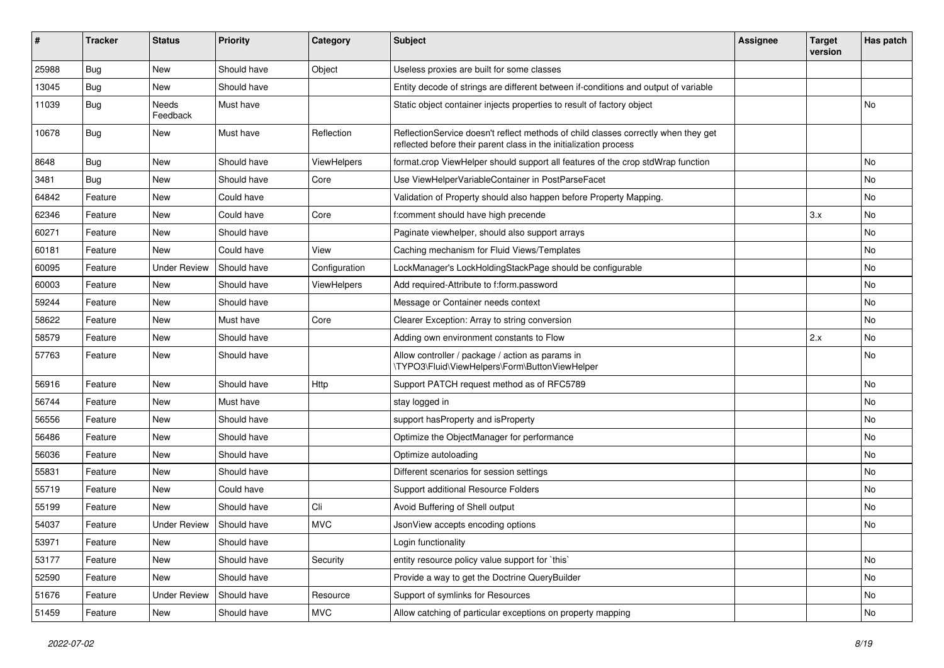| ∦     | <b>Tracker</b> | <b>Status</b>       | Priority    | Category           | <b>Subject</b>                                                                                                                                          | <b>Assignee</b> | <b>Target</b><br>version | Has patch |
|-------|----------------|---------------------|-------------|--------------------|---------------------------------------------------------------------------------------------------------------------------------------------------------|-----------------|--------------------------|-----------|
| 25988 | Bug            | <b>New</b>          | Should have | Object             | Useless proxies are built for some classes                                                                                                              |                 |                          |           |
| 13045 | Bug            | New                 | Should have |                    | Entity decode of strings are different between if-conditions and output of variable                                                                     |                 |                          |           |
| 11039 | Bug            | Needs<br>Feedback   | Must have   |                    | Static object container injects properties to result of factory object                                                                                  |                 |                          | <b>No</b> |
| 10678 | Bug            | New                 | Must have   | Reflection         | ReflectionService doesn't reflect methods of child classes correctly when they get<br>reflected before their parent class in the initialization process |                 |                          |           |
| 8648  | Bug            | New                 | Should have | <b>ViewHelpers</b> | format.crop ViewHelper should support all features of the crop stdWrap function                                                                         |                 |                          | No        |
| 3481  | Bug            | New                 | Should have | Core               | Use ViewHelperVariableContainer in PostParseFacet                                                                                                       |                 |                          | No        |
| 64842 | Feature        | New                 | Could have  |                    | Validation of Property should also happen before Property Mapping.                                                                                      |                 |                          | No        |
| 62346 | Feature        | New                 | Could have  | Core               | f:comment should have high precende                                                                                                                     |                 | 3.x                      | No        |
| 60271 | Feature        | New                 | Should have |                    | Paginate viewhelper, should also support arrays                                                                                                         |                 |                          | No        |
| 60181 | Feature        | <b>New</b>          | Could have  | View               | Caching mechanism for Fluid Views/Templates                                                                                                             |                 |                          | No        |
| 60095 | Feature        | <b>Under Review</b> | Should have | Configuration      | LockManager's LockHoldingStackPage should be configurable                                                                                               |                 |                          | No        |
| 60003 | Feature        | New                 | Should have | <b>ViewHelpers</b> | Add required-Attribute to f:form.password                                                                                                               |                 |                          | <b>No</b> |
| 59244 | Feature        | New                 | Should have |                    | Message or Container needs context                                                                                                                      |                 |                          | No        |
| 58622 | Feature        | New                 | Must have   | Core               | Clearer Exception: Array to string conversion                                                                                                           |                 |                          | No        |
| 58579 | Feature        | New                 | Should have |                    | Adding own environment constants to Flow                                                                                                                |                 | 2.x                      | <b>No</b> |
| 57763 | Feature        | New                 | Should have |                    | Allow controller / package / action as params in<br>\TYPO3\Fluid\ViewHelpers\Form\ButtonViewHelper                                                      |                 |                          | No        |
| 56916 | Feature        | New                 | Should have | Http               | Support PATCH request method as of RFC5789                                                                                                              |                 |                          | No        |
| 56744 | Feature        | New                 | Must have   |                    | stay logged in                                                                                                                                          |                 |                          | No        |
| 56556 | Feature        | New                 | Should have |                    | support has Property and is Property                                                                                                                    |                 |                          | No        |
| 56486 | Feature        | New                 | Should have |                    | Optimize the ObjectManager for performance                                                                                                              |                 |                          | No        |
| 56036 | Feature        | New                 | Should have |                    | Optimize autoloading                                                                                                                                    |                 |                          | No        |
| 55831 | Feature        | <b>New</b>          | Should have |                    | Different scenarios for session settings                                                                                                                |                 |                          | No        |
| 55719 | Feature        | New                 | Could have  |                    | Support additional Resource Folders                                                                                                                     |                 |                          | No        |
| 55199 | Feature        | New                 | Should have | Cli                | Avoid Buffering of Shell output                                                                                                                         |                 |                          | <b>No</b> |
| 54037 | Feature        | <b>Under Review</b> | Should have | <b>MVC</b>         | JsonView accepts encoding options                                                                                                                       |                 |                          | No        |
| 53971 | Feature        | New                 | Should have |                    | Login functionality                                                                                                                                     |                 |                          |           |
| 53177 | Feature        | New                 | Should have | Security           | entity resource policy value support for 'this'                                                                                                         |                 |                          | No        |
| 52590 | Feature        | New                 | Should have |                    | Provide a way to get the Doctrine QueryBuilder                                                                                                          |                 |                          | No        |
| 51676 | Feature        | <b>Under Review</b> | Should have | Resource           | Support of symlinks for Resources                                                                                                                       |                 |                          | No        |
| 51459 | Feature        | New                 | Should have | <b>MVC</b>         | Allow catching of particular exceptions on property mapping                                                                                             |                 |                          | No        |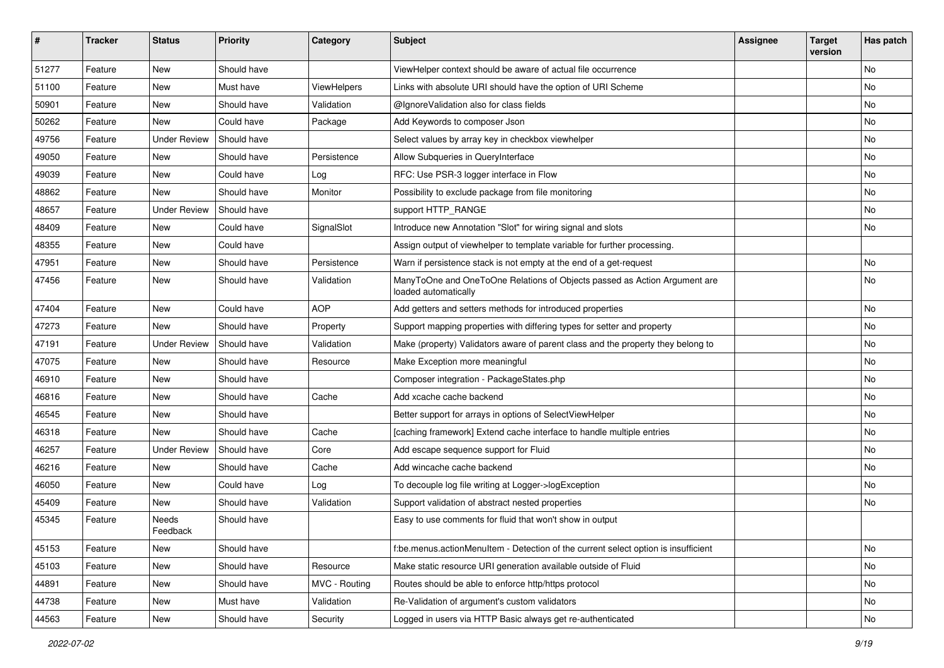| #     | <b>Tracker</b> | <b>Status</b>       | Priority    | Category           | Subject                                                                                           | <b>Assignee</b> | <b>Target</b><br>version | Has patch |
|-------|----------------|---------------------|-------------|--------------------|---------------------------------------------------------------------------------------------------|-----------------|--------------------------|-----------|
| 51277 | Feature        | <b>New</b>          | Should have |                    | ViewHelper context should be aware of actual file occurrence                                      |                 |                          | No        |
| 51100 | Feature        | New                 | Must have   | <b>ViewHelpers</b> | Links with absolute URI should have the option of URI Scheme                                      |                 |                          | No        |
| 50901 | Feature        | New                 | Should have | Validation         | @IgnoreValidation also for class fields                                                           |                 |                          | No        |
| 50262 | Feature        | New                 | Could have  | Package            | Add Keywords to composer Json                                                                     |                 |                          | No        |
| 49756 | Feature        | <b>Under Review</b> | Should have |                    | Select values by array key in checkbox viewhelper                                                 |                 |                          | No        |
| 49050 | Feature        | New                 | Should have | Persistence        | Allow Subqueries in QueryInterface                                                                |                 |                          | No        |
| 49039 | Feature        | New                 | Could have  | Log                | RFC: Use PSR-3 logger interface in Flow                                                           |                 |                          | No        |
| 48862 | Feature        | New                 | Should have | Monitor            | Possibility to exclude package from file monitoring                                               |                 |                          | No        |
| 48657 | Feature        | <b>Under Review</b> | Should have |                    | support HTTP_RANGE                                                                                |                 |                          | No        |
| 48409 | Feature        | New                 | Could have  | SignalSlot         | Introduce new Annotation "Slot" for wiring signal and slots                                       |                 |                          | No        |
| 48355 | Feature        | New                 | Could have  |                    | Assign output of viewhelper to template variable for further processing.                          |                 |                          |           |
| 47951 | Feature        | New                 | Should have | Persistence        | Warn if persistence stack is not empty at the end of a get-request                                |                 |                          | No        |
| 47456 | Feature        | New                 | Should have | Validation         | ManyToOne and OneToOne Relations of Objects passed as Action Argument are<br>loaded automatically |                 |                          | No        |
| 47404 | Feature        | New                 | Could have  | <b>AOP</b>         | Add getters and setters methods for introduced properties                                         |                 |                          | No        |
| 47273 | Feature        | New                 | Should have | Property           | Support mapping properties with differing types for setter and property                           |                 |                          | No        |
| 47191 | Feature        | <b>Under Review</b> | Should have | Validation         | Make (property) Validators aware of parent class and the property they belong to                  |                 |                          | No        |
| 47075 | Feature        | New                 | Should have | Resource           | Make Exception more meaningful                                                                    |                 |                          | No        |
| 46910 | Feature        | New                 | Should have |                    | Composer integration - PackageStates.php                                                          |                 |                          | No        |
| 46816 | Feature        | New                 | Should have | Cache              | Add xcache cache backend                                                                          |                 |                          | No        |
| 46545 | Feature        | New                 | Should have |                    | Better support for arrays in options of SelectViewHelper                                          |                 |                          | No        |
| 46318 | Feature        | New                 | Should have | Cache              | [caching framework] Extend cache interface to handle multiple entries                             |                 |                          | No        |
| 46257 | Feature        | <b>Under Review</b> | Should have | Core               | Add escape sequence support for Fluid                                                             |                 |                          | No        |
| 46216 | Feature        | New                 | Should have | Cache              | Add wincache cache backend                                                                        |                 |                          | No        |
| 46050 | Feature        | New                 | Could have  | Log                | To decouple log file writing at Logger->logException                                              |                 |                          | No        |
| 45409 | Feature        | New                 | Should have | Validation         | Support validation of abstract nested properties                                                  |                 |                          | No        |
| 45345 | Feature        | Needs<br>Feedback   | Should have |                    | Easy to use comments for fluid that won't show in output                                          |                 |                          |           |
| 45153 | Feature        | New                 | Should have |                    | f:be.menus.actionMenuItem - Detection of the current select option is insufficient                |                 |                          | No        |
| 45103 | Feature        | <b>New</b>          | Should have | Resource           | Make static resource URI generation available outside of Fluid                                    |                 |                          | No        |
| 44891 | Feature        | New                 | Should have | MVC - Routing      | Routes should be able to enforce http/https protocol                                              |                 |                          | No        |
| 44738 | Feature        | New                 | Must have   | Validation         | Re-Validation of argument's custom validators                                                     |                 |                          | No        |
| 44563 | Feature        | New                 | Should have | Security           | Logged in users via HTTP Basic always get re-authenticated                                        |                 |                          | No        |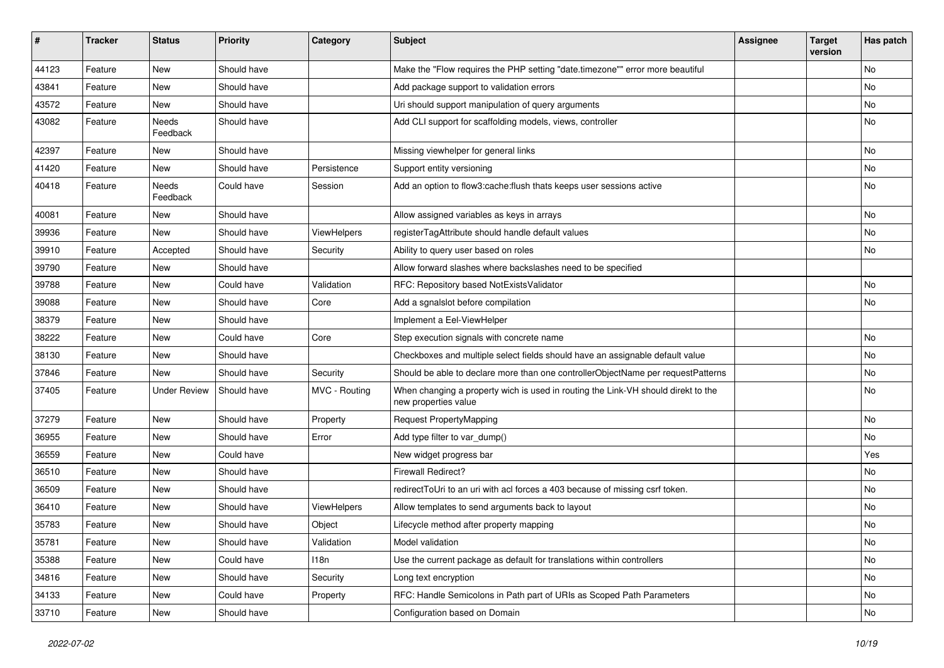| #     | <b>Tracker</b> | <b>Status</b>       | Priority    | Category           | <b>Subject</b>                                                                                            | <b>Assignee</b> | <b>Target</b><br>version | Has patch |
|-------|----------------|---------------------|-------------|--------------------|-----------------------------------------------------------------------------------------------------------|-----------------|--------------------------|-----------|
| 44123 | Feature        | New                 | Should have |                    | Make the "Flow requires the PHP setting "date.timezone"" error more beautiful                             |                 |                          | No        |
| 43841 | Feature        | New                 | Should have |                    | Add package support to validation errors                                                                  |                 |                          | No        |
| 43572 | Feature        | New                 | Should have |                    | Uri should support manipulation of query arguments                                                        |                 |                          | No        |
| 43082 | Feature        | Needs<br>Feedback   | Should have |                    | Add CLI support for scaffolding models, views, controller                                                 |                 |                          | No        |
| 42397 | Feature        | New                 | Should have |                    | Missing viewhelper for general links                                                                      |                 |                          | No        |
| 41420 | Feature        | New                 | Should have | Persistence        | Support entity versioning                                                                                 |                 |                          | No        |
| 40418 | Feature        | Needs<br>Feedback   | Could have  | Session            | Add an option to flow3:cache: flush thats keeps user sessions active                                      |                 |                          | No        |
| 40081 | Feature        | New                 | Should have |                    | Allow assigned variables as keys in arrays                                                                |                 |                          | No        |
| 39936 | Feature        | New                 | Should have | <b>ViewHelpers</b> | registerTagAttribute should handle default values                                                         |                 |                          | No        |
| 39910 | Feature        | Accepted            | Should have | Security           | Ability to query user based on roles                                                                      |                 |                          | No        |
| 39790 | Feature        | <b>New</b>          | Should have |                    | Allow forward slashes where backslashes need to be specified                                              |                 |                          |           |
| 39788 | Feature        | New                 | Could have  | Validation         | RFC: Repository based NotExistsValidator                                                                  |                 |                          | No        |
| 39088 | Feature        | New                 | Should have | Core               | Add a sgnalslot before compilation                                                                        |                 |                          | No        |
| 38379 | Feature        | New                 | Should have |                    | Implement a Eel-ViewHelper                                                                                |                 |                          |           |
| 38222 | Feature        | New                 | Could have  | Core               | Step execution signals with concrete name                                                                 |                 |                          | No        |
| 38130 | Feature        | New                 | Should have |                    | Checkboxes and multiple select fields should have an assignable default value                             |                 |                          | No        |
| 37846 | Feature        | New                 | Should have | Security           | Should be able to declare more than one controllerObjectName per requestPatterns                          |                 |                          | No        |
| 37405 | Feature        | <b>Under Review</b> | Should have | MVC - Routing      | When changing a property wich is used in routing the Link-VH should direkt to the<br>new properties value |                 |                          | No        |
| 37279 | Feature        | <b>New</b>          | Should have | Property           | <b>Request PropertyMapping</b>                                                                            |                 |                          | No        |
| 36955 | Feature        | New                 | Should have | Error              | Add type filter to var_dump()                                                                             |                 |                          | No        |
| 36559 | Feature        | New                 | Could have  |                    | New widget progress bar                                                                                   |                 |                          | Yes       |
| 36510 | Feature        | New                 | Should have |                    | <b>Firewall Redirect?</b>                                                                                 |                 |                          | No        |
| 36509 | Feature        | New                 | Should have |                    | redirectToUri to an uri with acl forces a 403 because of missing csrf token.                              |                 |                          | No        |
| 36410 | Feature        | New                 | Should have | <b>ViewHelpers</b> | Allow templates to send arguments back to layout                                                          |                 |                          | No        |
| 35783 | Feature        | New                 | Should have | Object             | Lifecycle method after property mapping                                                                   |                 |                          | No        |
| 35781 | Feature        | New                 | Should have | Validation         | Model validation                                                                                          |                 |                          | No        |
| 35388 | Feature        | New                 | Could have  | 118n               | Use the current package as default for translations within controllers                                    |                 |                          | No        |
| 34816 | Feature        | New                 | Should have | Security           | Long text encryption                                                                                      |                 |                          | No        |
| 34133 | Feature        | New                 | Could have  | Property           | RFC: Handle Semicolons in Path part of URIs as Scoped Path Parameters                                     |                 |                          | No        |
| 33710 | Feature        | New                 | Should have |                    | Configuration based on Domain                                                                             |                 |                          | No        |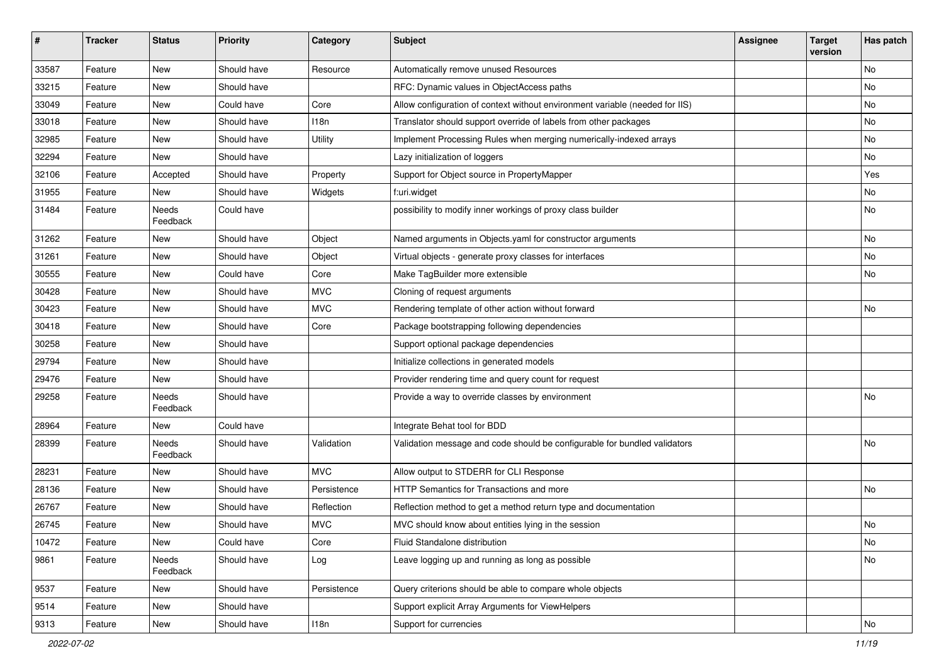| $\sharp$ | <b>Tracker</b> | <b>Status</b>     | Priority    | Category       | <b>Subject</b>                                                               | <b>Assignee</b> | <b>Target</b><br>version | Has patch     |
|----------|----------------|-------------------|-------------|----------------|------------------------------------------------------------------------------|-----------------|--------------------------|---------------|
| 33587    | Feature        | New               | Should have | Resource       | Automatically remove unused Resources                                        |                 |                          | No            |
| 33215    | Feature        | New               | Should have |                | RFC: Dynamic values in ObjectAccess paths                                    |                 |                          | No            |
| 33049    | Feature        | New               | Could have  | Core           | Allow configuration of context without environment variable (needed for IIS) |                 |                          | No            |
| 33018    | Feature        | New               | Should have | 118n           | Translator should support override of labels from other packages             |                 |                          | No            |
| 32985    | Feature        | New               | Should have | <b>Utility</b> | Implement Processing Rules when merging numerically-indexed arrays           |                 |                          | No            |
| 32294    | Feature        | New               | Should have |                | Lazy initialization of loggers                                               |                 |                          | No            |
| 32106    | Feature        | Accepted          | Should have | Property       | Support for Object source in PropertyMapper                                  |                 |                          | Yes           |
| 31955    | Feature        | New               | Should have | Widgets        | f:uri.widget                                                                 |                 |                          | No            |
| 31484    | Feature        | Needs<br>Feedback | Could have  |                | possibility to modify inner workings of proxy class builder                  |                 |                          | No            |
| 31262    | Feature        | New               | Should have | Object         | Named arguments in Objects.yaml for constructor arguments                    |                 |                          | No            |
| 31261    | Feature        | New               | Should have | Object         | Virtual objects - generate proxy classes for interfaces                      |                 |                          | No            |
| 30555    | Feature        | New               | Could have  | Core           | Make TagBuilder more extensible                                              |                 |                          | No            |
| 30428    | Feature        | New               | Should have | <b>MVC</b>     | Cloning of request arguments                                                 |                 |                          |               |
| 30423    | Feature        | New               | Should have | <b>MVC</b>     | Rendering template of other action without forward                           |                 |                          | No            |
| 30418    | Feature        | New               | Should have | Core           | Package bootstrapping following dependencies                                 |                 |                          |               |
| 30258    | Feature        | New               | Should have |                | Support optional package dependencies                                        |                 |                          |               |
| 29794    | Feature        | New               | Should have |                | Initialize collections in generated models                                   |                 |                          |               |
| 29476    | Feature        | New               | Should have |                | Provider rendering time and query count for request                          |                 |                          |               |
| 29258    | Feature        | Needs<br>Feedback | Should have |                | Provide a way to override classes by environment                             |                 |                          | No            |
| 28964    | Feature        | New               | Could have  |                | Integrate Behat tool for BDD                                                 |                 |                          |               |
| 28399    | Feature        | Needs<br>Feedback | Should have | Validation     | Validation message and code should be configurable for bundled validators    |                 |                          | No            |
| 28231    | Feature        | New               | Should have | <b>MVC</b>     | Allow output to STDERR for CLI Response                                      |                 |                          |               |
| 28136    | Feature        | New               | Should have | Persistence    | HTTP Semantics for Transactions and more                                     |                 |                          | No            |
| 26767    | Feature        | New               | Should have | Reflection     | Reflection method to get a method return type and documentation              |                 |                          |               |
| 26745    | Feature        | New               | Should have | <b>MVC</b>     | MVC should know about entities lying in the session                          |                 |                          | No            |
| 10472    | Feature        | New               | Could have  | Core           | Fluid Standalone distribution                                                |                 |                          | $\mathsf{No}$ |
| 9861     | Feature        | Needs<br>Feedback | Should have | Log            | Leave logging up and running as long as possible                             |                 |                          | No            |
| 9537     | Feature        | New               | Should have | Persistence    | Query criterions should be able to compare whole objects                     |                 |                          |               |
| 9514     | Feature        | New               | Should have |                | Support explicit Array Arguments for ViewHelpers                             |                 |                          |               |
| 9313     | Feature        | New               | Should have | 118n           | Support for currencies                                                       |                 |                          | No            |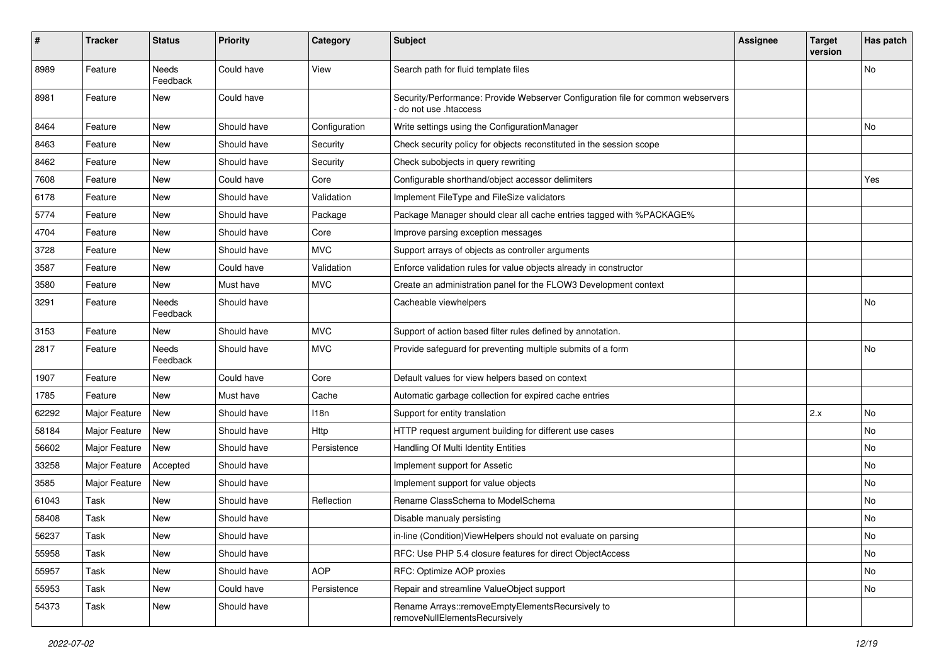| #     | <b>Tracker</b> | <b>Status</b>     | Priority    | Category      | <b>Subject</b>                                                                                           | <b>Assignee</b> | <b>Target</b><br>version | Has patch |
|-------|----------------|-------------------|-------------|---------------|----------------------------------------------------------------------------------------------------------|-----------------|--------------------------|-----------|
| 8989  | Feature        | Needs<br>Feedback | Could have  | View          | Search path for fluid template files                                                                     |                 |                          | No        |
| 8981  | Feature        | New               | Could have  |               | Security/Performance: Provide Webserver Configuration file for common webservers<br>do not use .htaccess |                 |                          |           |
| 8464  | Feature        | New               | Should have | Configuration | Write settings using the ConfigurationManager                                                            |                 |                          | No        |
| 8463  | Feature        | New               | Should have | Security      | Check security policy for objects reconstituted in the session scope                                     |                 |                          |           |
| 8462  | Feature        | New               | Should have | Security      | Check subobjects in query rewriting                                                                      |                 |                          |           |
| 7608  | Feature        | New               | Could have  | Core          | Configurable shorthand/object accessor delimiters                                                        |                 |                          | Yes       |
| 6178  | Feature        | New               | Should have | Validation    | Implement FileType and FileSize validators                                                               |                 |                          |           |
| 5774  | Feature        | New               | Should have | Package       | Package Manager should clear all cache entries tagged with %PACKAGE%                                     |                 |                          |           |
| 4704  | Feature        | New               | Should have | Core          | Improve parsing exception messages                                                                       |                 |                          |           |
| 3728  | Feature        | New               | Should have | <b>MVC</b>    | Support arrays of objects as controller arguments                                                        |                 |                          |           |
| 3587  | Feature        | New               | Could have  | Validation    | Enforce validation rules for value objects already in constructor                                        |                 |                          |           |
| 3580  | Feature        | New               | Must have   | <b>MVC</b>    | Create an administration panel for the FLOW3 Development context                                         |                 |                          |           |
| 3291  | Feature        | Needs<br>Feedback | Should have |               | Cacheable viewhelpers                                                                                    |                 |                          | <b>No</b> |
| 3153  | Feature        | New               | Should have | <b>MVC</b>    | Support of action based filter rules defined by annotation.                                              |                 |                          |           |
| 2817  | Feature        | Needs<br>Feedback | Should have | <b>MVC</b>    | Provide safeguard for preventing multiple submits of a form                                              |                 |                          | No        |
| 1907  | Feature        | New               | Could have  | Core          | Default values for view helpers based on context                                                         |                 |                          |           |
| 1785  | Feature        | <b>New</b>        | Must have   | Cache         | Automatic garbage collection for expired cache entries                                                   |                 |                          |           |
| 62292 | Major Feature  | <b>New</b>        | Should have | 118n          | Support for entity translation                                                                           |                 | 2.x                      | <b>No</b> |
| 58184 | Major Feature  | New               | Should have | Http          | HTTP request argument building for different use cases                                                   |                 |                          | No        |
| 56602 | Major Feature  | New               | Should have | Persistence   | Handling Of Multi Identity Entities                                                                      |                 |                          | No        |
| 33258 | Major Feature  | Accepted          | Should have |               | Implement support for Assetic                                                                            |                 |                          | No        |
| 3585  | Major Feature  | <b>New</b>        | Should have |               | Implement support for value objects                                                                      |                 |                          | No        |
| 61043 | Task           | New               | Should have | Reflection    | Rename ClassSchema to ModelSchema                                                                        |                 |                          | <b>No</b> |
| 58408 | Task           | New               | Should have |               | Disable manualy persisting                                                                               |                 |                          | No        |
| 56237 | Task           | New               | Should have |               | in-line (Condition) View Helpers should not evaluate on parsing                                          |                 |                          | NO.       |
| 55958 | Task           | New               | Should have |               | RFC: Use PHP 5.4 closure features for direct ObjectAccess                                                |                 |                          | No        |
| 55957 | Task           | New               | Should have | <b>AOP</b>    | RFC: Optimize AOP proxies                                                                                |                 |                          | No        |
| 55953 | Task           | New               | Could have  | Persistence   | Repair and streamline ValueObject support                                                                |                 |                          | No        |
| 54373 | Task           | New               | Should have |               | Rename Arrays::removeEmptyElementsRecursively to<br>removeNullElementsRecursively                        |                 |                          |           |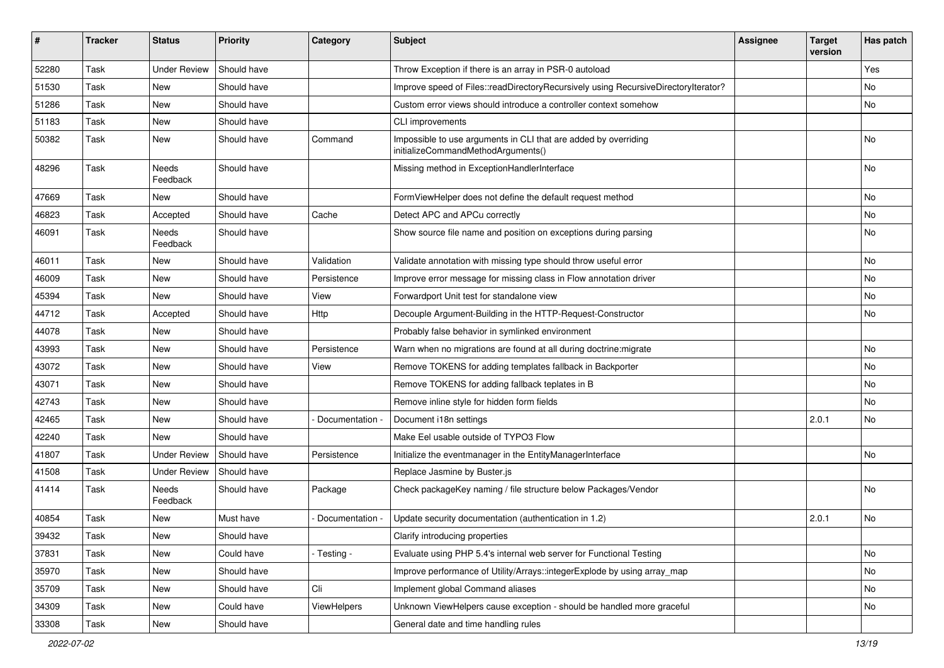| #     | <b>Tracker</b> | <b>Status</b>       | <b>Priority</b> | Category           | <b>Subject</b>                                                                                        | <b>Assignee</b> | <b>Target</b><br>version | Has patch |
|-------|----------------|---------------------|-----------------|--------------------|-------------------------------------------------------------------------------------------------------|-----------------|--------------------------|-----------|
| 52280 | Task           | <b>Under Review</b> | Should have     |                    | Throw Exception if there is an array in PSR-0 autoload                                                |                 |                          | Yes       |
| 51530 | Task           | New                 | Should have     |                    | Improve speed of Files::readDirectoryRecursively using RecursiveDirectoryIterator?                    |                 |                          | No        |
| 51286 | Task           | New                 | Should have     |                    | Custom error views should introduce a controller context somehow                                      |                 |                          | No        |
| 51183 | Task           | New                 | Should have     |                    | CLI improvements                                                                                      |                 |                          |           |
| 50382 | Task           | New                 | Should have     | Command            | Impossible to use arguments in CLI that are added by overriding<br>initializeCommandMethodArguments() |                 |                          | No        |
| 48296 | Task           | Needs<br>Feedback   | Should have     |                    | Missing method in ExceptionHandlerInterface                                                           |                 |                          | No        |
| 47669 | Task           | New                 | Should have     |                    | FormViewHelper does not define the default request method                                             |                 |                          | No        |
| 46823 | Task           | Accepted            | Should have     | Cache              | Detect APC and APCu correctly                                                                         |                 |                          | No        |
| 46091 | Task           | Needs<br>Feedback   | Should have     |                    | Show source file name and position on exceptions during parsing                                       |                 |                          | No        |
| 46011 | Task           | New                 | Should have     | Validation         | Validate annotation with missing type should throw useful error                                       |                 |                          | No        |
| 46009 | Task           | New                 | Should have     | Persistence        | Improve error message for missing class in Flow annotation driver                                     |                 |                          | No        |
| 45394 | Task           | New                 | Should have     | View               | Forwardport Unit test for standalone view                                                             |                 |                          | No        |
| 44712 | Task           | Accepted            | Should have     | Http               | Decouple Argument-Building in the HTTP-Request-Constructor                                            |                 |                          | No        |
| 44078 | Task           | New                 | Should have     |                    | Probably false behavior in symlinked environment                                                      |                 |                          |           |
| 43993 | Task           | New                 | Should have     | Persistence        | Warn when no migrations are found at all during doctrine: migrate                                     |                 |                          | No        |
| 43072 | Task           | New                 | Should have     | View               | Remove TOKENS for adding templates fallback in Backporter                                             |                 |                          | No        |
| 43071 | Task           | New                 | Should have     |                    | Remove TOKENS for adding fallback teplates in B                                                       |                 |                          | No        |
| 42743 | Task           | New                 | Should have     |                    | Remove inline style for hidden form fields                                                            |                 |                          | No        |
| 42465 | Task           | New                 | Should have     | Documentation -    | Document i18n settings                                                                                |                 | 2.0.1                    | No        |
| 42240 | Task           | New                 | Should have     |                    | Make Eel usable outside of TYPO3 Flow                                                                 |                 |                          |           |
| 41807 | Task           | <b>Under Review</b> | Should have     | Persistence        | Initialize the eventmanager in the EntityManagerInterface                                             |                 |                          | No        |
| 41508 | Task           | <b>Under Review</b> | Should have     |                    | Replace Jasmine by Buster.js                                                                          |                 |                          |           |
| 41414 | Task           | Needs<br>Feedback   | Should have     | Package            | Check packageKey naming / file structure below Packages/Vendor                                        |                 |                          | No        |
| 40854 | Task           | New                 | Must have       | Documentation -    | Update security documentation (authentication in 1.2)                                                 |                 | 2.0.1                    | No        |
| 39432 | Task           | New                 | Should have     |                    | Clarify introducing properties                                                                        |                 |                          |           |
| 37831 | Task           | New                 | Could have      | - Testing -        | Evaluate using PHP 5.4's internal web server for Functional Testing                                   |                 |                          | No        |
| 35970 | Task           | New                 | Should have     |                    | Improve performance of Utility/Arrays::integerExplode by using array_map                              |                 |                          | No        |
| 35709 | Task           | New                 | Should have     | Cli                | Implement global Command aliases                                                                      |                 |                          | No        |
| 34309 | Task           | New                 | Could have      | <b>ViewHelpers</b> | Unknown ViewHelpers cause exception - should be handled more graceful                                 |                 |                          | No        |
| 33308 | Task           | New                 | Should have     |                    | General date and time handling rules                                                                  |                 |                          |           |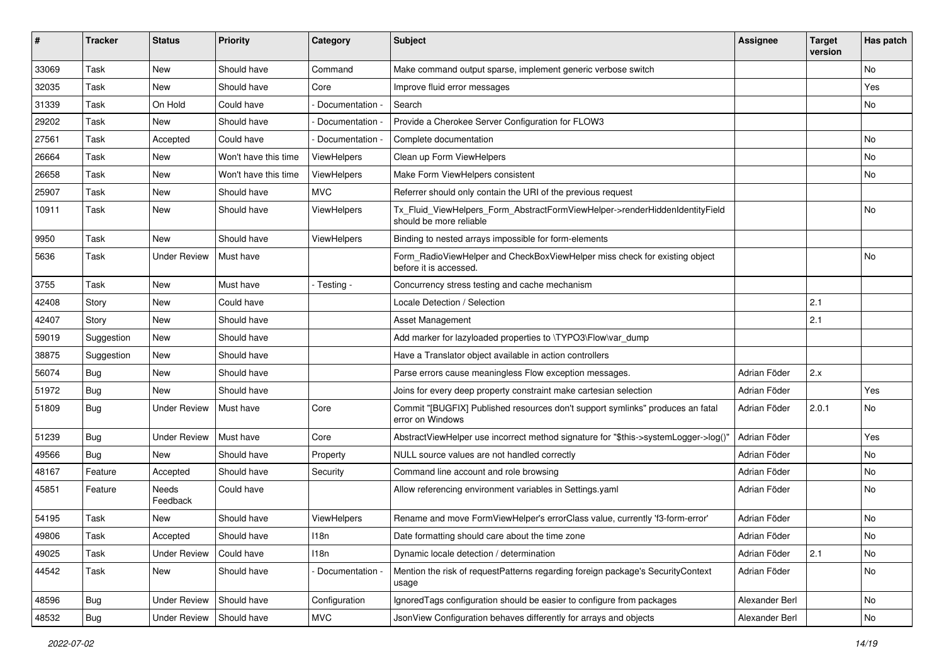| #     | <b>Tracker</b> | <b>Status</b>       | <b>Priority</b>      | Category           | Subject                                                                                                | Assignee       | <b>Target</b><br>version | Has patch |
|-------|----------------|---------------------|----------------------|--------------------|--------------------------------------------------------------------------------------------------------|----------------|--------------------------|-----------|
| 33069 | Task           | New                 | Should have          | Command            | Make command output sparse, implement generic verbose switch                                           |                |                          | No.       |
| 32035 | Task           | New                 | Should have          | Core               | Improve fluid error messages                                                                           |                |                          | Yes       |
| 31339 | Task           | On Hold             | Could have           | Documentation -    | Search                                                                                                 |                |                          | No.       |
| 29202 | Task           | New                 | Should have          | Documentation -    | Provide a Cherokee Server Configuration for FLOW3                                                      |                |                          |           |
| 27561 | Task           | Accepted            | Could have           | Documentation -    | Complete documentation                                                                                 |                |                          | No        |
| 26664 | Task           | New                 | Won't have this time | ViewHelpers        | Clean up Form ViewHelpers                                                                              |                |                          | No        |
| 26658 | Task           | New                 | Won't have this time | ViewHelpers        | Make Form ViewHelpers consistent                                                                       |                |                          | No        |
| 25907 | Task           | <b>New</b>          | Should have          | <b>MVC</b>         | Referrer should only contain the URI of the previous request                                           |                |                          |           |
| 10911 | Task           | New                 | Should have          | <b>ViewHelpers</b> | Tx_Fluid_ViewHelpers_Form_AbstractFormViewHelper->renderHiddenIdentityField<br>should be more reliable |                |                          | No        |
| 9950  | Task           | New                 | Should have          | ViewHelpers        | Binding to nested arrays impossible for form-elements                                                  |                |                          |           |
| 5636  | Task           | <b>Under Review</b> | Must have            |                    | Form_RadioViewHelper and CheckBoxViewHelper miss check for existing object<br>before it is accessed.   |                |                          | No        |
| 3755  | Task           | New                 | Must have            | - Testing -        | Concurrency stress testing and cache mechanism                                                         |                |                          |           |
| 42408 | Story          | New                 | Could have           |                    | Locale Detection / Selection                                                                           |                | 2.1                      |           |
| 42407 | Story          | <b>New</b>          | Should have          |                    | <b>Asset Management</b>                                                                                |                | 2.1                      |           |
| 59019 | Suggestion     | <b>New</b>          | Should have          |                    | Add marker for lazyloaded properties to \TYPO3\Flow\var_dump                                           |                |                          |           |
| 38875 | Suggestion     | <b>New</b>          | Should have          |                    | Have a Translator object available in action controllers                                               |                |                          |           |
| 56074 | Bug            | New                 | Should have          |                    | Parse errors cause meaningless Flow exception messages.                                                | Adrian Föder   | 2.x                      |           |
| 51972 | Bug            | New                 | Should have          |                    | Joins for every deep property constraint make cartesian selection                                      | Adrian Föder   |                          | Yes       |
| 51809 | Bug            | <b>Under Review</b> | Must have            | Core               | Commit "[BUGFIX] Published resources don't support symlinks" produces an fatal<br>error on Windows     | Adrian Föder   | 2.0.1                    | No        |
| 51239 | <b>Bug</b>     | <b>Under Review</b> | Must have            | Core               | AbstractViewHelper use incorrect method signature for "\$this->systemLogger->log()"                    | Adrian Föder   |                          | Yes       |
| 49566 | Bug            | New                 | Should have          | Property           | NULL source values are not handled correctly                                                           | Adrian Föder   |                          | No        |
| 48167 | Feature        | Accepted            | Should have          | Security           | Command line account and role browsing                                                                 | Adrian Föder   |                          | No        |
| 45851 | Feature        | Needs<br>Feedback   | Could have           |                    | Allow referencing environment variables in Settings.yaml                                               | Adrian Föder   |                          | No        |
| 54195 | Task           | New                 | Should have          | <b>ViewHelpers</b> | Rename and move FormViewHelper's errorClass value, currently 'f3-form-error'                           | Adrian Föder   |                          | No        |
| 49806 | Task           | Accepted            | Should have          | 118n               | Date formatting should care about the time zone                                                        | Adrian Föder   |                          | No.       |
| 49025 | Task           | <b>Under Review</b> | Could have           | 118n               | Dynamic locale detection / determination                                                               | Adrian Föder   | 2.1                      | No        |
| 44542 | Task           | New                 | Should have          | Documentation -    | Mention the risk of requestPatterns regarding foreign package's SecurityContext<br>usage               | Adrian Föder   |                          | No        |
| 48596 | <b>Bug</b>     | <b>Under Review</b> | Should have          | Configuration      | IgnoredTags configuration should be easier to configure from packages                                  | Alexander Berl |                          | No        |
| 48532 | Bug            | <b>Under Review</b> | Should have          | <b>MVC</b>         | JsonView Configuration behaves differently for arrays and objects                                      | Alexander Berl |                          | No        |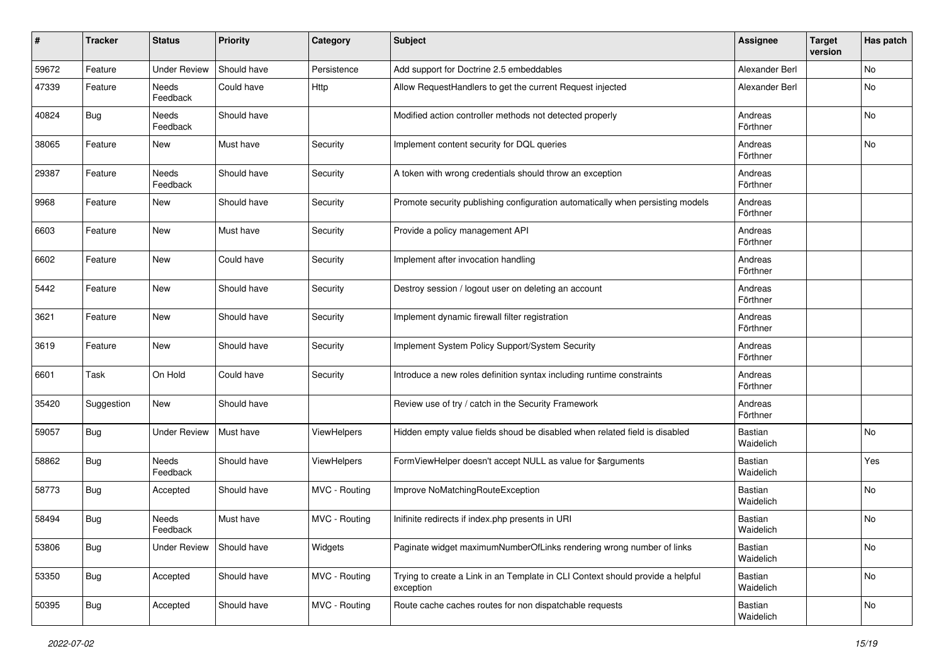| ∦     | <b>Tracker</b> | <b>Status</b>       | <b>Priority</b> | Category      | Subject                                                                                     | Assignee             | <b>Target</b><br>version | Has patch |
|-------|----------------|---------------------|-----------------|---------------|---------------------------------------------------------------------------------------------|----------------------|--------------------------|-----------|
| 59672 | Feature        | <b>Under Review</b> | Should have     | Persistence   | Add support for Doctrine 2.5 embeddables                                                    | Alexander Berl       |                          | No        |
| 47339 | Feature        | Needs<br>Feedback   | Could have      | <b>Http</b>   | Allow RequestHandlers to get the current Request injected                                   | Alexander Berl       |                          | No        |
| 40824 | Bug            | Needs<br>Feedback   | Should have     |               | Modified action controller methods not detected properly                                    | Andreas<br>Förthner  |                          | No        |
| 38065 | Feature        | <b>New</b>          | Must have       | Security      | Implement content security for DQL queries                                                  | Andreas<br>Förthner  |                          | No        |
| 29387 | Feature        | Needs<br>Feedback   | Should have     | Security      | A token with wrong credentials should throw an exception                                    | Andreas<br>Förthner  |                          |           |
| 9968  | Feature        | <b>New</b>          | Should have     | Security      | Promote security publishing configuration automatically when persisting models              | Andreas<br>Förthner  |                          |           |
| 6603  | Feature        | <b>New</b>          | Must have       | Security      | Provide a policy management API                                                             | Andreas<br>Förthner  |                          |           |
| 6602  | Feature        | <b>New</b>          | Could have      | Security      | Implement after invocation handling                                                         | Andreas<br>Förthner  |                          |           |
| 5442  | Feature        | <b>New</b>          | Should have     | Security      | Destroy session / logout user on deleting an account                                        | Andreas<br>Förthner  |                          |           |
| 3621  | Feature        | New                 | Should have     | Security      | Implement dynamic firewall filter registration                                              | Andreas<br>Förthner  |                          |           |
| 3619  | Feature        | <b>New</b>          | Should have     | Security      | Implement System Policy Support/System Security                                             | Andreas<br>Förthner  |                          |           |
| 6601  | Task           | On Hold             | Could have      | Security      | Introduce a new roles definition syntax including runtime constraints                       | Andreas<br>Förthner  |                          |           |
| 35420 | Suggestion     | New                 | Should have     |               | Review use of try / catch in the Security Framework                                         | Andreas<br>Förthner  |                          |           |
| 59057 | Bug            | <b>Under Review</b> | Must have       | ViewHelpers   | Hidden empty value fields shoud be disabled when related field is disabled                  | Bastian<br>Waidelich |                          | No        |
| 58862 | <b>Bug</b>     | Needs<br>Feedback   | Should have     | ViewHelpers   | FormViewHelper doesn't accept NULL as value for \$arguments                                 | Bastian<br>Waidelich |                          | Yes       |
| 58773 | Bug            | Accepted            | Should have     | MVC - Routing | Improve NoMatchingRouteException                                                            | Bastian<br>Waidelich |                          | No        |
| 58494 | Bug            | Needs<br>Feedback   | Must have       | MVC - Routing | Inifinite redirects if index.php presents in URI                                            | Bastian<br>Waidelich |                          | No        |
| 53806 | <b>Bug</b>     | <b>Under Review</b> | Should have     | Widgets       | Paginate widget maximumNumberOfLinks rendering wrong number of links                        | Bastian<br>Waidelich |                          | No        |
| 53350 | <b>Bug</b>     | Accepted            | Should have     | MVC - Routing | Trying to create a Link in an Template in CLI Context should provide a helpful<br>exception | Bastian<br>Waidelich |                          | No        |
| 50395 | Bug            | Accepted            | Should have     | MVC - Routing | Route cache caches routes for non dispatchable requests                                     | Bastian<br>Waidelich |                          | No        |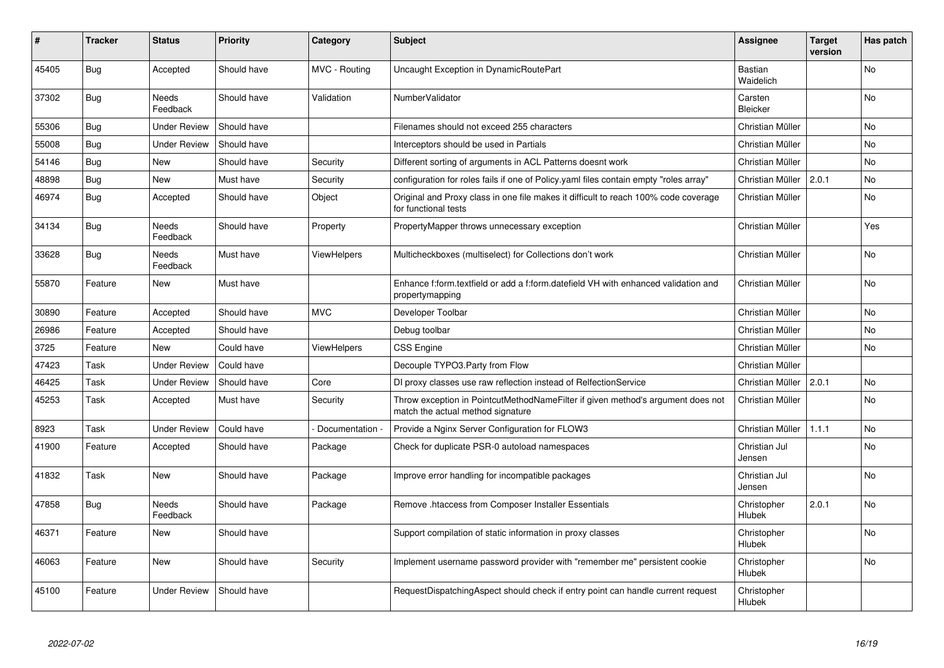| ∦     | <b>Tracker</b> | <b>Status</b>       | <b>Priority</b> | Category           | <b>Subject</b>                                                                                                       | Assignee                     | <b>Target</b><br>version | Has patch      |
|-------|----------------|---------------------|-----------------|--------------------|----------------------------------------------------------------------------------------------------------------------|------------------------------|--------------------------|----------------|
| 45405 | <b>Bug</b>     | Accepted            | Should have     | MVC - Routing      | Uncaught Exception in DynamicRoutePart                                                                               | <b>Bastian</b><br>Waidelich  |                          | No.            |
| 37302 | Bug            | Needs<br>Feedback   | Should have     | Validation         | NumberValidator                                                                                                      | Carsten<br><b>Bleicker</b>   |                          | No.            |
| 55306 | <b>Bug</b>     | <b>Under Review</b> | Should have     |                    | Filenames should not exceed 255 characters                                                                           | Christian Müller             |                          | <b>No</b>      |
| 55008 | <b>Bug</b>     | <b>Under Review</b> | Should have     |                    | Interceptors should be used in Partials                                                                              | Christian Müller             |                          | <b>No</b>      |
| 54146 | <b>Bug</b>     | <b>New</b>          | Should have     | Security           | Different sorting of arguments in ACL Patterns doesnt work                                                           | Christian Müller             |                          | <b>No</b>      |
| 48898 | Bug            | New                 | Must have       | Security           | configuration for roles fails if one of Policy yaml files contain empty "roles array"                                | Christian Müller             | 2.0.1                    | No             |
| 46974 | <b>Bug</b>     | Accepted            | Should have     | Object             | Original and Proxy class in one file makes it difficult to reach 100% code coverage<br>for functional tests          | Christian Müller             |                          | No             |
| 34134 | Bug            | Needs<br>Feedback   | Should have     | Property           | PropertyMapper throws unnecessary exception                                                                          | Christian Müller             |                          | Yes            |
| 33628 | Bug            | Needs<br>Feedback   | Must have       | <b>ViewHelpers</b> | Multicheckboxes (multiselect) for Collections don't work                                                             | Christian Müller             |                          | <b>No</b>      |
| 55870 | Feature        | <b>New</b>          | Must have       |                    | Enhance f:form.textfield or add a f:form.datefield VH with enhanced validation and<br>propertymapping                | Christian Müller             |                          | N <sub>o</sub> |
| 30890 | Feature        | Accepted            | Should have     | <b>MVC</b>         | Developer Toolbar                                                                                                    | Christian Müller             |                          | No.            |
| 26986 | Feature        | Accepted            | Should have     |                    | Debug toolbar                                                                                                        | Christian Müller             |                          | <b>No</b>      |
| 3725  | Feature        | <b>New</b>          | Could have      | <b>ViewHelpers</b> | <b>CSS Engine</b>                                                                                                    | Christian Müller             |                          | No             |
| 47423 | Task           | <b>Under Review</b> | Could have      |                    | Decouple TYPO3.Party from Flow                                                                                       | Christian Müller             |                          |                |
| 46425 | Task           | <b>Under Review</b> | Should have     | Core               | DI proxy classes use raw reflection instead of RelfectionService                                                     | Christian Müller             | 2.0.1                    | No.            |
| 45253 | Task           | Accepted            | Must have       | Security           | Throw exception in PointcutMethodNameFilter if given method's argument does not<br>match the actual method signature | Christian Müller             |                          | N <sub>o</sub> |
| 8923  | Task           | <b>Under Review</b> | Could have      | Documentation -    | Provide a Nginx Server Configuration for FLOW3                                                                       | Christian Müller             | 1.1.1                    | <b>No</b>      |
| 41900 | Feature        | Accepted            | Should have     | Package            | Check for duplicate PSR-0 autoload namespaces                                                                        | Christian Jul<br>Jensen      |                          | N <sub>o</sub> |
| 41832 | Task           | <b>New</b>          | Should have     | Package            | Improve error handling for incompatible packages                                                                     | Christian Jul<br>Jensen      |                          | <b>No</b>      |
| 47858 | Bug            | Needs<br>Feedback   | Should have     | Package            | Remove .htaccess from Composer Installer Essentials                                                                  | Christopher<br><b>Hlubek</b> | 2.0.1                    | No             |
| 46371 | Feature        | <b>New</b>          | Should have     |                    | Support compilation of static information in proxy classes                                                           | Christopher<br><b>Hlubek</b> |                          | No             |
| 46063 | Feature        | <b>New</b>          | Should have     | Security           | Implement username password provider with "remember me" persistent cookie                                            | Christopher<br><b>Hlubek</b> |                          | No.            |
| 45100 | Feature        | Under Review        | Should have     |                    | RequestDispatchingAspect should check if entry point can handle current request                                      | Christopher<br>Hlubek        |                          |                |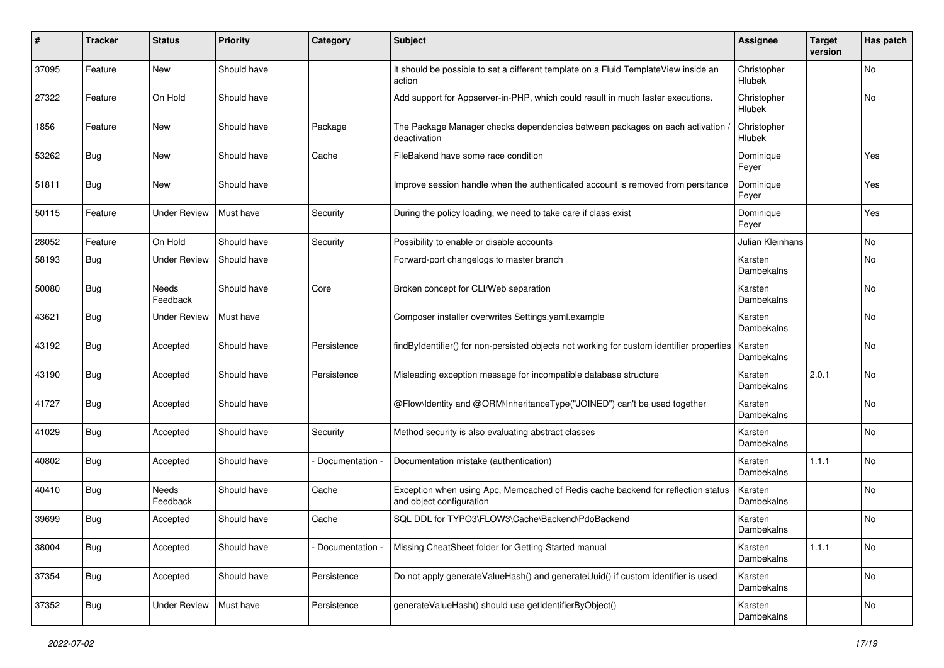| #     | <b>Tracker</b> | <b>Status</b>       | <b>Priority</b> | Category        | <b>Subject</b>                                                                                               | Assignee                     | <b>Target</b><br>version | Has patch |
|-------|----------------|---------------------|-----------------|-----------------|--------------------------------------------------------------------------------------------------------------|------------------------------|--------------------------|-----------|
| 37095 | Feature        | <b>New</b>          | Should have     |                 | It should be possible to set a different template on a Fluid TemplateView inside an<br>action                | Christopher<br>Hlubek        |                          | No        |
| 27322 | Feature        | On Hold             | Should have     |                 | Add support for Appserver-in-PHP, which could result in much faster executions.                              | Christopher<br>Hlubek        |                          | No        |
| 1856  | Feature        | <b>New</b>          | Should have     | Package         | The Package Manager checks dependencies between packages on each activation<br>deactivation                  | Christopher<br>Hlubek        |                          |           |
| 53262 | Bug            | <b>New</b>          | Should have     | Cache           | FileBakend have some race condition                                                                          | Dominique<br>Feyer           |                          | Yes       |
| 51811 | Bug            | <b>New</b>          | Should have     |                 | Improve session handle when the authenticated account is removed from persitance                             | Dominique<br>Feyer           |                          | Yes       |
| 50115 | Feature        | <b>Under Review</b> | Must have       | Security        | During the policy loading, we need to take care if class exist                                               | Dominique<br>Feyer           |                          | Yes       |
| 28052 | Feature        | On Hold             | Should have     | Security        | Possibility to enable or disable accounts                                                                    | Julian Kleinhans             |                          | No        |
| 58193 | <b>Bug</b>     | <b>Under Review</b> | Should have     |                 | Forward-port changelogs to master branch                                                                     | Karsten<br>Dambekalns        |                          | No        |
| 50080 | Bug            | Needs<br>Feedback   | Should have     | Core            | Broken concept for CLI/Web separation                                                                        | Karsten<br>Dambekalns        |                          | <b>No</b> |
| 43621 | Bug            | Under Review        | Must have       |                 | Composer installer overwrites Settings.yaml.example                                                          | Karsten<br>Dambekalns        |                          | No        |
| 43192 | Bug            | Accepted            | Should have     | Persistence     | findByIdentifier() for non-persisted objects not working for custom identifier properties                    | Karsten<br>Dambekalns        |                          | No        |
| 43190 | Bug            | Accepted            | Should have     | Persistence     | Misleading exception message for incompatible database structure                                             | Karsten<br><b>Dambekalns</b> | 2.0.1                    | No        |
| 41727 | Bug            | Accepted            | Should have     |                 | @Flow\Identity and @ORM\InheritanceType("JOINED") can't be used together                                     | Karsten<br>Dambekalns        |                          | No        |
| 41029 | Bug            | Accepted            | Should have     | Security        | Method security is also evaluating abstract classes                                                          | Karsten<br>Dambekalns        |                          | No        |
| 40802 | <b>Bug</b>     | Accepted            | Should have     | Documentation - | Documentation mistake (authentication)                                                                       | Karsten<br>Dambekalns        | 1.1.1                    | No        |
| 40410 | Bug            | Needs<br>Feedback   | Should have     | Cache           | Exception when using Apc, Memcached of Redis cache backend for reflection status<br>and object configuration | Karsten<br>Dambekalns        |                          | No        |
| 39699 | Bug            | Accepted            | Should have     | Cache           | SQL DDL for TYPO3\FLOW3\Cache\Backend\PdoBackend                                                             | Karsten<br>Dambekalns        |                          | No        |
| 38004 | Bug            | Accepted            | Should have     | Documentation - | Missing CheatSheet folder for Getting Started manual                                                         | Karsten<br>Dambekalns        | 1.1.1                    | No        |
| 37354 | Bug            | Accepted            | Should have     | Persistence     | Do not apply generateValueHash() and generateUuid() if custom identifier is used                             | Karsten<br>Dambekalns        |                          | No        |
| 37352 | Bug            | <b>Under Review</b> | Must have       | Persistence     | generateValueHash() should use getIdentifierByObject()                                                       | Karsten<br>Dambekalns        |                          | No        |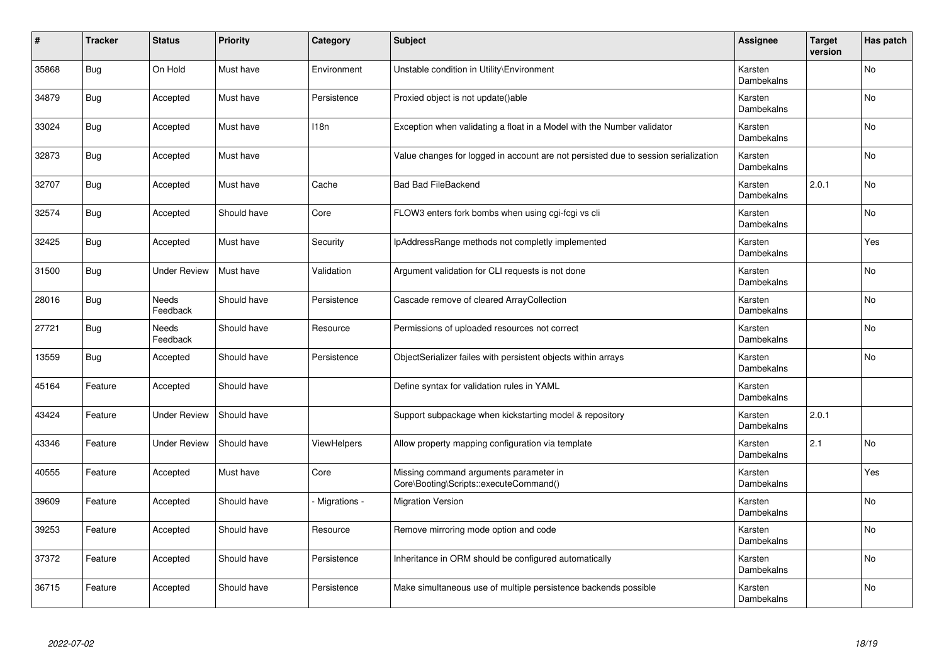| #     | <b>Tracker</b> | <b>Status</b>       | <b>Priority</b> | Category     | <b>Subject</b>                                                                     | <b>Assignee</b>       | <b>Target</b><br>version | Has patch      |
|-------|----------------|---------------------|-----------------|--------------|------------------------------------------------------------------------------------|-----------------------|--------------------------|----------------|
| 35868 | Bug            | On Hold             | Must have       | Environment  | Unstable condition in Utility\Environment                                          | Karsten<br>Dambekalns |                          | <b>No</b>      |
| 34879 | Bug            | Accepted            | Must have       | Persistence  | Proxied object is not update()able                                                 | Karsten<br>Dambekalns |                          | <b>No</b>      |
| 33024 | Bug            | Accepted            | Must have       | 118n         | Exception when validating a float in a Model with the Number validator             | Karsten<br>Dambekalns |                          | No             |
| 32873 | Bug            | Accepted            | Must have       |              | Value changes for logged in account are not persisted due to session serialization | Karsten<br>Dambekalns |                          | N <sub>o</sub> |
| 32707 | Bug            | Accepted            | Must have       | Cache        | <b>Bad Bad FileBackend</b>                                                         | Karsten<br>Dambekalns | 2.0.1                    | <b>No</b>      |
| 32574 | Bug            | Accepted            | Should have     | Core         | FLOW3 enters fork bombs when using cgi-fcgi vs cli                                 | Karsten<br>Dambekalns |                          | No             |
| 32425 | Bug            | Accepted            | Must have       | Security     | IpAddressRange methods not completly implemented                                   | Karsten<br>Dambekalns |                          | Yes            |
| 31500 | <b>Bug</b>     | <b>Under Review</b> | Must have       | Validation   | Argument validation for CLI requests is not done                                   | Karsten<br>Dambekalns |                          | <b>No</b>      |
| 28016 | Bug            | Needs<br>Feedback   | Should have     | Persistence  | Cascade remove of cleared ArrayCollection                                          | Karsten<br>Dambekalns |                          | No             |
| 27721 | Bug            | Needs<br>Feedback   | Should have     | Resource     | Permissions of uploaded resources not correct                                      | Karsten<br>Dambekalns |                          | No             |
| 13559 | <b>Bug</b>     | Accepted            | Should have     | Persistence  | ObjectSerializer failes with persistent objects within arrays                      | Karsten<br>Dambekalns |                          | No.            |
| 45164 | Feature        | Accepted            | Should have     |              | Define syntax for validation rules in YAML                                         | Karsten<br>Dambekalns |                          |                |
| 43424 | Feature        | <b>Under Review</b> | Should have     |              | Support subpackage when kickstarting model & repository                            | Karsten<br>Dambekalns | 2.0.1                    |                |
| 43346 | Feature        | <b>Under Review</b> | Should have     | ViewHelpers  | Allow property mapping configuration via template                                  | Karsten<br>Dambekalns | 2.1                      | No             |
| 40555 | Feature        | Accepted            | Must have       | Core         | Missing command arguments parameter in<br>Core\Booting\Scripts::executeCommand()   | Karsten<br>Dambekalns |                          | Yes            |
| 39609 | Feature        | Accepted            | Should have     | Migrations - | <b>Migration Version</b>                                                           | Karsten<br>Dambekalns |                          | <b>No</b>      |
| 39253 | Feature        | Accepted            | Should have     | Resource     | Remove mirroring mode option and code                                              | Karsten<br>Dambekalns |                          | No             |
| 37372 | Feature        | Accepted            | Should have     | Persistence  | Inheritance in ORM should be configured automatically                              | Karsten<br>Dambekalns |                          | No             |
| 36715 | Feature        | Accepted            | Should have     | Persistence  | Make simultaneous use of multiple persistence backends possible                    | Karsten<br>Dambekalns |                          | <b>No</b>      |